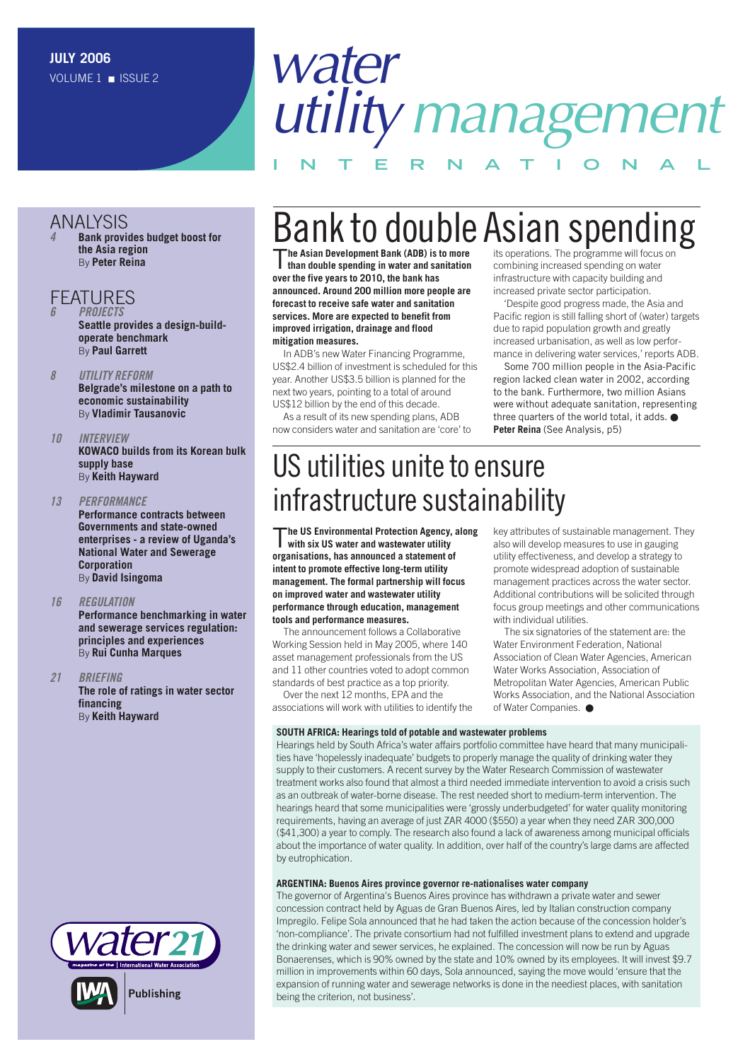### ANALYSIS

*4* **[Bank provides budget boost for](#page-3-0) the Asia region** By **Peter Reina**

#### **FFATURES**

*6 PROJECTS* **[Seattle provides a design-build](#page-5-0)operate benchmark** By **Paul Garrett**

- *8 UTILITY REFORM* **[Belgrade's milestone on a path to](#page-7-0)  economic sustainability** By **Vladimir Tausanovic**
- *10 INTERVIEW* **[KOWACO builds from its Korean bulk](#page-9-0) supply base** By **Keith Hayward**
- *13 PERFORMANCE* **Performance contracts between Governments and state-owned [enterprises - a review of Uganda's](#page-12-0) National Water and Sewerage Corporation** By **David Isingoma**

#### *16 REGULATION*

**[Performance benchmarking in water](#page-15-0)  and sewerage services regulation: principles and experiences** By **Rui Cunha Marques**

#### *21 BRIEFING*

**[The role of ratings in water sector](#page-20-0) financing** By **Keith Hayward**

# *water utilitymanagement*

 $\n$ Bank to double Asian Spending  $\mathsf{B}$ 

**INTERNAT IONAL**

T**he Asian Development Bank (ADB) is to more than double spending in water and sanitation over the five years to 2010, the bank has announced. Around 200 million more people are forecast to receive safe water and sanitation services. More are expected to benefit from improved irrigation, drainage and flood mitigation measures.**

In ADB's new Water Financing Programme, US\$2.4 billion of investment is scheduled for this year. Another US\$3.5 billion is planned for the next two years, pointing to a total of around US\$12 billion by the end of this decade.

As a result of its new spending plans, ADB now considers water and sanitation are 'core' to

its operations. The programme will focus on combining increased spending on water infrastructure with capacity building and increased private sector participation.

'Despite good progress made, the Asia and Pacific region is still falling short of (water) targets due to rapid population growth and greatly increased urbanisation, as well as low performance in delivering water services,' reports ADB.

Some 700 million people in the Asia-Pacific region lacked clean water in 2002, according to the bank. Furthermore, two million Asians were without adequate sanitation, representing three quarters of the world total, it adds. ● **Peter Reina** (See Analysis, p5)

## US utilities unite to ensure infrastructure sustainability

T**he US Environmental Protection Agency, along with six US water and wastewater utility organisations, has announced a statement of intent to promote effective long-term utility management. The formal partnership will focus on improved water and wastewater utility performance through education, management tools and performance measures.** 

The announcement follows a Collaborative Working Session held in May 2005, where 140 asset management professionals from the US and 11 other countries voted to adopt common standards of best practice as a top priority.

Over the next 12 months, EPA and the associations will work with utilities to identify the

key attributes of sustainable management. They also will develop measures to use in gauging utility effectiveness, and develop a strategy to promote widespread adoption of sustainable management practices across the water sector. Additional contributions will be solicited through focus group meetings and other communications with individual utilities.

The six signatories of the statement are: the Water Environment Federation, National Association of Clean Water Agencies, American Water Works Association, Association of Metropolitan Water Agencies, American Public Works Association, and the National Association of Water Companies. ●

#### **SOUTH AFRICA: Hearings told of potable and wastewater problems**

Hearings held by South Africa's water affairs portfolio committee have heard that many municipalities have 'hopelessly inadequate' budgets to properly manage the quality of drinking water they supply to their customers. A recent survey by the Water Research Commission of wastewater treatment works also found that almost a third needed immediate intervention to avoid a crisis such as an outbreak of water-borne disease. The rest needed short to medium-term intervention. The hearings heard that some municipalities were 'grossly underbudgeted' for water quality monitoring requirements, having an average of just ZAR 4000 (\$550) a year when they need ZAR 300,000 (\$41,300) a year to comply. The research also found a lack of awareness among municipal officials about the importance of water quality. In addition, over half of the country's large dams are affected by eutrophication.

#### **ARGENTINA: Buenos Aires province governor re-nationalises water company**

The governor of Argentina's Buenos Aires province has withdrawn a private water and sewer concession contract held by Aguas de Gran Buenos Aires, led by Italian construction company Impregilo. Felipe Sola announced that he had taken the action because of the concession holder's 'non-compliance'. The private consortium had not fulfilled investment plans to extend and upgrade the drinking water and sewer services, he explained. The concession will now be run by Aguas Bonaerenses, which is 90% owned by the state and 10% owned by its employees. It will invest \$9.7 million in improvements within 60 days, Sola announced, saying the move would 'ensure that the expansion of running water and sewerage networks is done in the neediest places, with sanitation being the criterion, not business'.

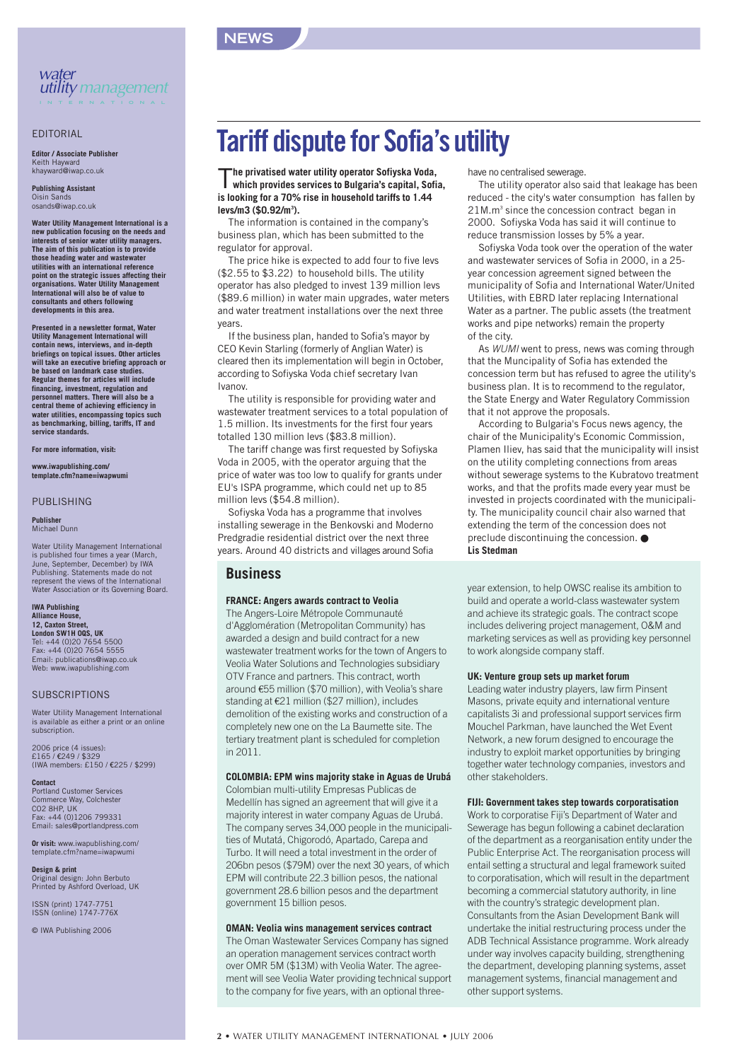

#### EDITORIAL

**Editor / Associate Publisher** Keith Hayward khayward@iwap.co.uk

**Publishing Assistant** Oisin Sa osands@iwap.co.uk

**Water Utility Management International is a new publication focusing on the needs and interests of senior water utility managers. The aim of this publication is to provide those heading water and wastewater utilities with an international reference point on the strategic issues affecting their organisations. Water Utility Management International will also be of value to consultants and others following developments in this area.**

**Presented in a newsletter format, Water Utility Management International will contain news, interviews, and in-depth briefings on topical issues. Other articles will take an executive briefing approach or be based on landmark case studies. Regular themes for articles will include financing, investment, regulation and personnel matters. There will also be a central theme of achieving efficiency in water utilities, encompassing topics such as benchmarking, billing, tariffs, IT and service standards.**

**For more information, visit:**

**www.iwapublishing.com/ template.cfm?name=iwapwumi**

#### PUBLISHING

**Publisher** Michael Dunn

Water Utility Management International is published four times a year (March, June, September, December) by IWA Publishing. Statements made do not represent the views of the International Water Association or its Governing Board.

#### **IWA Publishing Alliance House, 12, Caxton Street, London SW1H 0QS, UK**

Tel: +44 (0)20 7654 5500 Fax: +44 (0)20 7654 5555 Email: publications@iwap.co.uk Web: www.iwapublishing.com

#### **SUBSCRIPTIONS**

Water Utility Management International is available as either a print or an online subscription.

2006 price (4 issues): £165 / €249 / \$329 (IWA members: £150 / €225 / \$299)

**Contact** Portland Customer Services Commerce Way, Colchester CO2 8HP, UK Fax: +44 (0)1206 799331 Email: sales@portlandpress.com

**Or visit:** www.iwapublishing.com/ template.cfm?name=iwapwumi

**Design & print** Original design: John Berbuto Printed by Ashford Overload, UK

ISSN (print) 1747-7751 ISSN (online) 1747-776X

© IWA Publishing 2006

## **Tariff dispute for Sofia's utility**

#### T**he privatised water utility operator Sofiyska Voda, which provides services to Bulgaria's capital, Sofia, is looking for a 70% rise in household tariffs to 1.44 levs/m3 (\$0.92/m3 ).**

**NEWS**

The information is contained in the company's business plan, which has been submitted to the regulator for approval.

The price hike is expected to add four to five levs (\$2.55 to \$3.22) to household bills. The utility operator has also pledged to invest 139 million levs (\$89.6 million) in water main upgrades, water meters and water treatment installations over the next three years.

If the business plan, handed to Sofia's mayor by CEO Kevin Starling (formerly of Anglian Water) is cleared then its implementation will begin in October, according to Sofiyska Voda chief secretary Ivan Ivanov.

The utility is responsible for providing water and wastewater treatment services to a total population of 1.5 million. Its investments for the first four years totalled 130 million levs (\$83.8 million).

The tariff change was first requested by Sofiyska Voda in 2005, with the operator arguing that the price of water was too low to qualify for grants under EU's ISPA programme, which could net up to 85 million levs (\$54.8 million).

Sofiyska Voda has a programme that involves installing sewerage in the Benkovski and Moderno Predgradie residential district over the next three years. Around 40 districts and villages around Sofia

#### **Business**

#### **FRANCE: Angers awards contract to Veolia**

The Angers-Loire Métropole Communauté d'Agglomération (Metropolitan Community) has awarded a design and build contract for a new wastewater treatment works for the town of Angers to Veolia Water Solutions and Technologies subsidiary OTV France and partners. This contract, worth around €55 million (\$70 million), with Veolia's share standing at €21 million (\$27 million), includes demolition of the existing works and construction of a completely new one on the La Baumette site. The tertiary treatment plant is scheduled for completion in 2011.

#### **COLOMBIA: EPM wins majority stake in Aguas de Urubá**

Colombian multi-utility Empresas Publicas de Medellín has signed an agreement that will give it a majority interest in water company Aguas de Urubá. The company serves 34,000 people in the municipalities of Mutatá, Chigorodó, Apartado, Carepa and Turbo. It will need a total investment in the order of 206bn pesos (\$79M) over the next 30 years, of which EPM will contribute 22.3 billion pesos, the national government 28.6 billion pesos and the department government 15 billion pesos.

#### **OMAN: Veolia wins management services contract**

The Oman Wastewater Services Company has signed an operation management services contract worth over OMR 5M (\$13M) with Veolia Water. The agreement will see Veolia Water providing technical support to the company for five years, with an optional threehave no centralised sewerage.

The utility operator also said that leakage has been reduced - the city's water consumption has fallen by 21M.m3 since the concession contract began in 2000. Sofiyska Voda has said it will continue to reduce transmission losses by 5% a year.

Sofiyska Voda took over the operation of the water and wastewater services of Sofia in 2000, in a 25 year concession agreement signed between the municipality of Sofia and International Water/United Utilities, with EBRD later replacing International Water as a partner. The public assets (the treatment works and pipe networks) remain the property of the city.

As *WUMI* went to press, news was coming through that the Muncipality of Sofia has extended the concession term but has refused to agree the utility's business plan. It is to recommend to the regulator, the State Energy and Water Regulatory Commission that it not approve the proposals.

According to Bulgaria's Focus news agency, the chair of the Municipality's Economic Commission, Plamen Iliev, has said that the municipality will insist on the utility completing connections from areas without sewerage systems to the Kubratovo treatment works, and that the profits made every year must be invested in projects coordinated with the municipality. The municipality council chair also warned that extending the term of the concession does not preclude discontinuing the concession. ● **Lis Stedman**

year extension, to help OWSC realise its ambition to build and operate a world-class wastewater system and achieve its strategic goals. The contract scope includes delivering project management, O&M and marketing services as well as providing key personnel to work alongside company staff.

#### **UK: Venture group sets up market forum**

Leading water industry players, law firm Pinsent Masons, private equity and international venture capitalists 3i and professional support services firm Mouchel Parkman, have launched the Wet Event Network, a new forum designed to encourage the industry to exploit market opportunities by bringing together water technology companies, investors and other stakeholders.

#### **FIJI: Government takes step towards corporatisation**

Work to corporatise Fiji's Department of Water and Sewerage has begun following a cabinet declaration of the department as a reorganisation entity under the Public Enterprise Act. The reorganisation process will entail setting a structural and legal framework suited to corporatisation, which will result in the department becoming a commercial statutory authority, in line with the country's strategic development plan. Consultants from the Asian Development Bank will undertake the initial restructuring process under the ADB Technical Assistance programme. Work already under way involves capacity building, strengthening the department, developing planning systems, asset management systems, financial management and other support systems.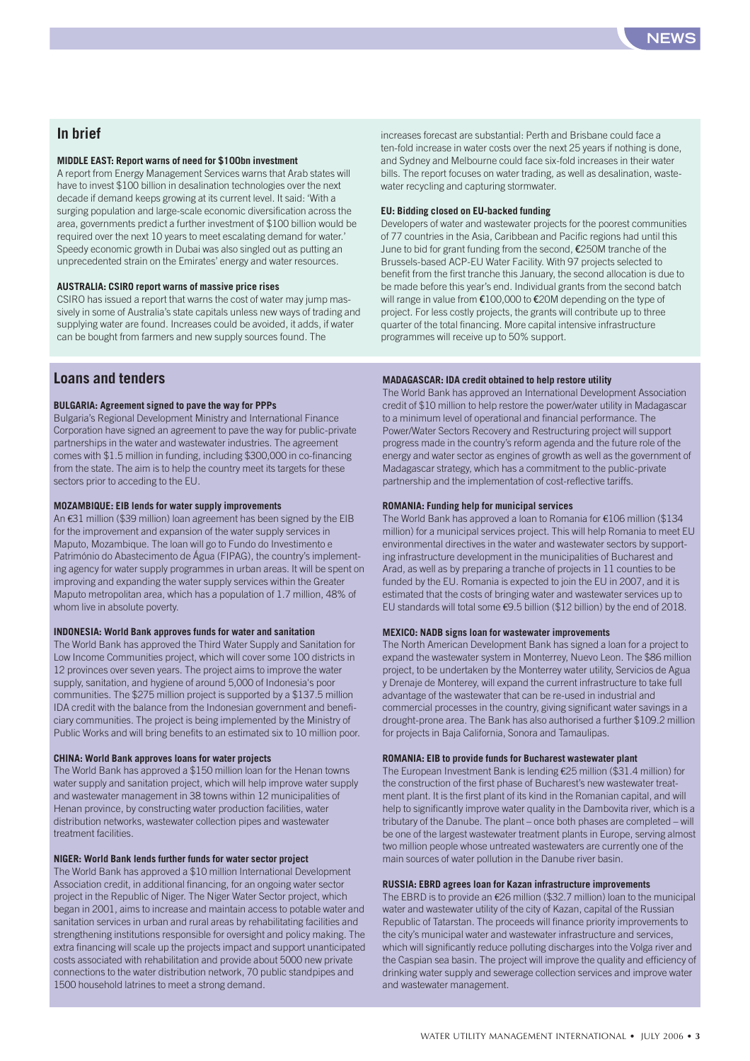

#### **In brief**

#### **MIDDLE EAST: Report warns of need for \$100bn investment**

A report from Energy Management Services warns that Arab states will have to invest \$100 billion in desalination technologies over the next decade if demand keeps growing at its current level. It said: 'With a surging population and large-scale economic diversification across the area, governments predict a further investment of \$100 billion would be required over the next 10 years to meet escalating demand for water.' Speedy economic growth in Dubai was also singled out as putting an unprecedented strain on the Emirates' energy and water resources.

#### **AUSTRALIA: CSIRO report warns of massive price rises**

CSIRO has issued a report that warns the cost of water may jump massively in some of Australia's state capitals unless new ways of trading and supplying water are found. Increases could be avoided, it adds, if water can be bought from farmers and new supply sources found. The

**Loans and tenders**

#### **BULGARIA: Agreement signed to pave the way for PPPs**

Bulgaria's Regional Development Ministry and International Finance Corporation have signed an agreement to pave the way for public-private partnerships in the water and wastewater industries. The agreement comes with \$1.5 million in funding, including \$300,000 in co-financing from the state. The aim is to help the country meet its targets for these sectors prior to acceding to the EU.

#### **MOZAMBIQUE: EIB lends for water supply improvements**

An €31 million (\$39 million) loan agreement has been signed by the EIB for the improvement and expansion of the water supply services in Maputo, Mozambique. The loan will go to Fundo do Investimento e Património do Abastecimento de Água (FIPAG), the country's implementing agency for water supply programmes in urban areas. It will be spent on improving and expanding the water supply services within the Greater Maputo metropolitan area, which has a population of 1.7 million, 48% of whom live in absolute poverty.

#### **INDONESIA: World Bank approves funds for water and sanitation**

The World Bank has approved the Third Water Supply and Sanitation for Low Income Communities project, which will cover some 100 districts in 12 provinces over seven years. The project aims to improve the water supply, sanitation, and hygiene of around 5,000 of Indonesia's poor communities. The \$275 million project is supported by a \$137.5 million IDA credit with the balance from the Indonesian government and beneficiary communities. The project is being implemented by the Ministry of Public Works and will bring benefits to an estimated six to 10 million poor.

#### **CHINA: World Bank approves loans for water projects**

The World Bank has approved a \$150 million loan for the Henan towns water supply and sanitation project, which will help improve water supply and wastewater management in 38 towns within 12 municipalities of Henan province, by constructing water production facilities, water distribution networks, wastewater collection pipes and wastewater treatment facilities.

#### **NIGER: World Bank lends further funds for water sector project**

The World Bank has approved a \$10 million International Development Association credit, in additional financing, for an ongoing water sector project in the Republic of Niger. The Niger Water Sector project, which began in 2001, aims to increase and maintain access to potable water and sanitation services in urban and rural areas by rehabilitating facilities and strengthening institutions responsible for oversight and policy making. The extra financing will scale up the projects impact and support unanticipated costs associated with rehabilitation and provide about 5000 new private connections to the water distribution network, 70 public standpipes and 1500 household latrines to meet a strong demand.

increases forecast are substantial: Perth and Brisbane could face a ten-fold increase in water costs over the next 25 years if nothing is done, and Sydney and Melbourne could face six-fold increases in their water bills. The report focuses on water trading, as well as desalination, wastewater recycling and capturing stormwater.

#### **EU: Bidding closed on EU-backed funding**

Developers of water and wastewater projects for the poorest communities of 77 countries in the Asia, Caribbean and Pacific regions had until this June to bid for grant funding from the second, €250M tranche of the Brussels-based ACP-EU Water Facility. With 97 projects selected to benefit from the first tranche this January, the second allocation is due to be made before this year's end. Individual grants from the second batch will range in value from €100,000 to €20M depending on the type of project. For less costly projects, the grants will contribute up to three quarter of the total financing. More capital intensive infrastructure programmes will receive up to 50% support.

#### **MADAGASCAR: IDA credit obtained to help restore utility**

The World Bank has approved an International Development Association credit of \$10 million to help restore the power/water utility in Madagascar to a minimum level of operational and financial performance. The Power/Water Sectors Recovery and Restructuring project will support progress made in the country's reform agenda and the future role of the energy and water sector as engines of growth as well as the government of Madagascar strategy, which has a commitment to the public-private partnership and the implementation of cost-reflective tariffs.

#### **ROMANIA: Funding help for municipal services**

The World Bank has approved a loan to Romania for €106 million (\$134 million) for a municipal services project. This will help Romania to meet EU environmental directives in the water and wastewater sectors by supporting infrastructure development in the municipalities of Bucharest and Arad, as well as by preparing a tranche of projects in 11 counties to be funded by the EU. Romania is expected to join the EU in 2007, and it is estimated that the costs of bringing water and wastewater services up to EU standards will total some €9.5 billion (\$12 billion) by the end of 2018.

#### **MEXICO: NADB signs loan for wastewater improvements**

The North American Development Bank has signed a loan for a project to expand the wastewater system in Monterrey, Nuevo Leon. The \$86 million project, to be undertaken by the Monterrey water utility, Servicios de Agua y Drenaje de Monterey, will expand the current infrastructure to take full advantage of the wastewater that can be re-used in industrial and commercial processes in the country, giving significant water savings in a drought-prone area. The Bank has also authorised a further \$109.2 million for projects in Baja California, Sonora and Tamaulipas.

#### **ROMANIA: EIB to provide funds for Bucharest wastewater plant**

The European Investment Bank is lending €25 million (\$31.4 million) for the construction of the first phase of Bucharest's new wastewater treatment plant. It is the first plant of its kind in the Romanian capital, and will help to significantly improve water quality in the Dambovita river, which is a tributary of the Danube. The plant – once both phases are completed – will be one of the largest wastewater treatment plants in Europe, serving almost two million people whose untreated wastewaters are currently one of the main sources of water pollution in the Danube river basin.

#### **RUSSIA: EBRD agrees loan for Kazan infrastructure improvements**

The EBRD is to provide an €26 million (\$32.7 million) loan to the municipal water and wastewater utility of the city of Kazan, capital of the Russian Republic of Tatarstan. The proceeds will finance priority improvements to the city's municipal water and wastewater infrastructure and services, which will significantly reduce polluting discharges into the Volga river and the Caspian sea basin. The project will improve the quality and efficiency of drinking water supply and sewerage collection services and improve water and wastewater management.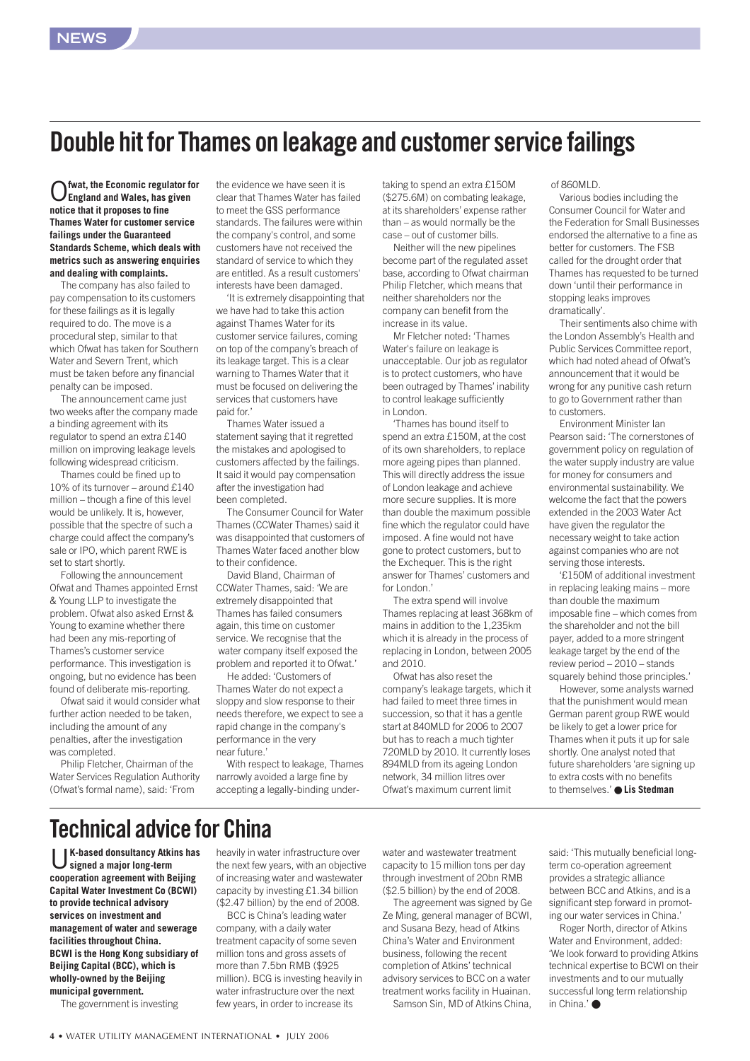## <span id="page-3-0"></span>**Double hit for Thames on leakage and customer service failings**

O**fwat, the Economic regulator for England and Wales, has given notice that it proposes to fine Thames Water for customer service failings under the Guaranteed Standards Scheme, which deals with metrics such as answering enquiries and dealing with complaints.**

The company has also failed to pay compensation to its customers for these failings as it is legally required to do. The move is a procedural step, similar to that which Ofwat has taken for Southern Water and Severn Trent, which must be taken before any financial penalty can be imposed.

The announcement came just two weeks after the company made a binding agreement with its regulator to spend an extra £140 million on improving leakage levels following widespread criticism.

Thames could be fined up to 10% of its turnover – around £140 million – though a fine of this level would be unlikely. It is, however, possible that the spectre of such a charge could affect the company's sale or IPO, which parent RWE is set to start shortly.

Following the announcement Ofwat and Thames appointed Ernst & Young LLP to investigate the problem. Ofwat also asked Ernst & Young to examine whether there had been any mis-reporting of Thames's customer service performance. This investigation is ongoing, but no evidence has been found of deliberate mis-reporting.

Ofwat said it would consider what further action needed to be taken, including the amount of any penalties, after the investigation was completed.

Philip Fletcher, Chairman of the Water Services Regulation Authority (Ofwat's formal name), said: 'From

the evidence we have seen it is clear that Thames Water has failed to meet the GSS performance standards. The failures were within the company's control, and some customers have not received the standard of service to which they are entitled. As a result customers' interests have been damaged.

'It is extremely disappointing that we have had to take this action against Thames Water for its customer service failures, coming on top of the company's breach of its leakage target. This is a clear warning to Thames Water that it must be focused on delivering the services that customers have paid for.'

Thames Water issued a statement saying that it regretted the mistakes and apologised to customers affected by the failings. It said it would pay compensation after the investigation had been completed.

The Consumer Council for Water Thames (CCWater Thames) said it was disappointed that customers of Thames Water faced another blow to their confidence.

David Bland, Chairman of CCWater Thames, said: 'We are extremely disappointed that Thames has failed consumers again, this time on customer service. We recognise that the water company itself exposed the problem and reported it to Ofwat.'

He added: 'Customers of Thames Water do not expect a sloppy and slow response to their needs therefore, we expect to see a rapid change in the company's performance in the very near future.'

With respect to leakage, Thames narrowly avoided a large fine by accepting a legally-binding under-

taking to spend an extra £150M (\$275.6M) on combating leakage, at its shareholders' expense rather than – as would normally be the case – out of customer bills.

Neither will the new pipelines become part of the regulated asset base, according to Ofwat chairman Philip Fletcher, which means that neither shareholders nor the company can benefit from the increase in its value.

Mr Fletcher noted: 'Thames Water's failure on leakage is unacceptable. Our job as regulator is to protect customers, who have been outraged by Thames' inability to control leakage sufficiently in London.

'Thames has bound itself to spend an extra £150M, at the cost of its own shareholders, to replace more ageing pipes than planned. This will directly address the issue of London leakage and achieve more secure supplies. It is more than double the maximum possible fine which the regulator could have imposed. A fine would not have gone to protect customers, but to the Exchequer. This is the right answer for Thames' customers and for London.'

The extra spend will involve Thames replacing at least 368km of mains in addition to the 1,235km which it is already in the process of replacing in London, between 2005 and 2010.

Ofwat has also reset the company's leakage targets, which it had failed to meet three times in succession, so that it has a gentle start at 840MLD for 2006 to 2007 but has to reach a much tighter 720MLD by 2010. It currently loses 894MLD from its ageing London network, 34 million litres over Ofwat's maximum current limit

#### of 860MLD.

Various bodies including the Consumer Council for Water and the Federation for Small Businesses endorsed the alternative to a fine as better for customers. The FSB called for the drought order that Thames has requested to be turned down 'until their performance in stopping leaks improves dramatically'.

Their sentiments also chime with the London Assembly's Health and Public Services Committee report, which had noted ahead of Ofwat's announcement that it would be wrong for any punitive cash return to go to Government rather than to customers.

Environment Minister Ian Pearson said: 'The cornerstones of government policy on regulation of the water supply industry are value for money for consumers and environmental sustainability. We welcome the fact that the powers extended in the 2003 Water Act have given the regulator the necessary weight to take action against companies who are not serving those interests.

'£150M of additional investment in replacing leaking mains – more than double the maximum imposable fine – which comes from the shareholder and not the bill payer, added to a more stringent leakage target by the end of the review period – 2010 – stands squarely behind those principles.'

However, some analysts warned that the punishment would mean German parent group RWE would be likely to get a lower price for Thames when it puts it up for sale shortly. One analyst noted that future shareholders 'are signing up to extra costs with no benefits to themselves.' ● **Lis Stedman**

## **Technical advice for China**

U**K-based donsultancy Atkins has signed a major long-term cooperation agreement with Beijing Capital Water Investment Co (BCWI) to provide technical advisory services on investment and management of water and sewerage facilities throughout China. BCWI is the Hong Kong subsidiary of Beijing Capital (BCC), which is wholly-owned by the Beijing municipal government.** 

The government is investing

heavily in water infrastructure over the next few years, with an objective of increasing water and wastewater capacity by investing £1.34 billion (\$2.47 billion) by the end of 2008.

BCC is China's leading water company, with a daily water treatment capacity of some seven million tons and gross assets of more than 7.5bn RMB (\$925 million). BCG is investing heavily in water infrastructure over the next few years, in order to increase its

water and wastewater treatment capacity to 15 million tons per day through investment of 20bn RMB (\$2.5 billion) by the end of 2008.

The agreement was signed by Ge Ze Ming, general manager of BCWI, and Susana Bezy, head of Atkins China's Water and Environment business, following the recent completion of Atkins' technical advisory services to BCC on a water treatment works facility in Huainan.

Samson Sin, MD of Atkins China,

said: 'This mutually beneficial longterm co-operation agreement provides a strategic alliance between BCC and Atkins, and is a significant step forward in promoting our water services in China.'

Roger North, director of Atkins Water and Environment, added: 'We look forward to providing Atkins technical expertise to BCWI on their investments and to our mutually successful long term relationship in China $'$   $\bullet$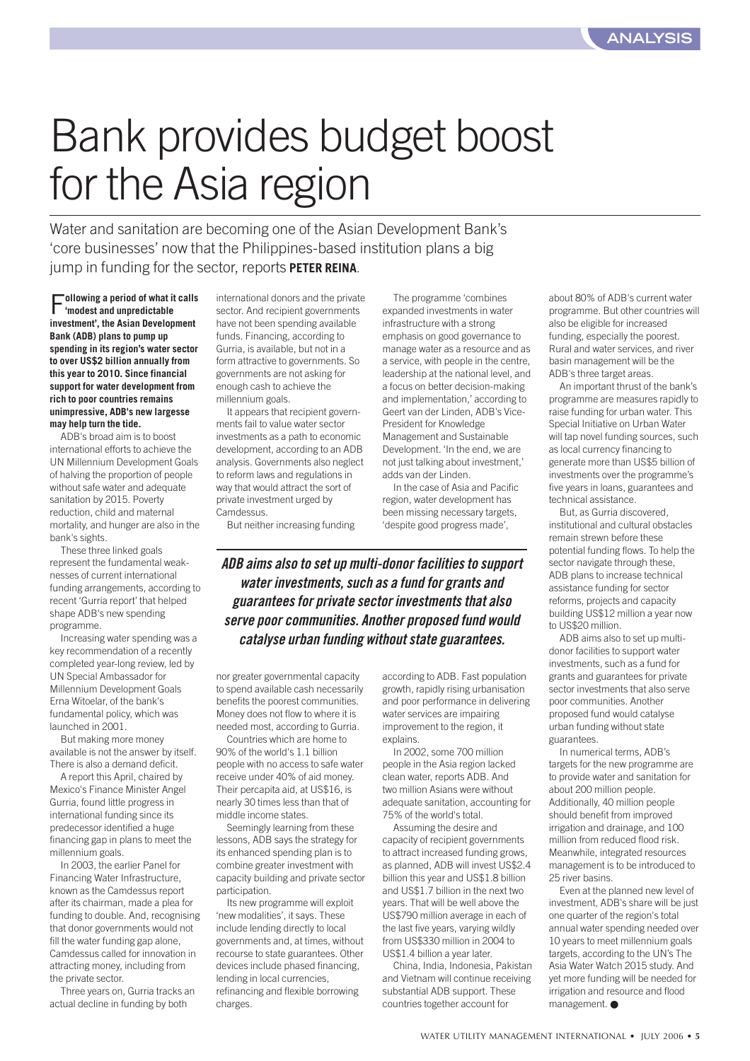# Bank provides budget boost for the Asia region

Water and sanitation are becoming one of the Asian Development Bank's 'core businesses' now that the Philippines-based institution plans a big jump in funding for the sector, reports **PETER REINA**.

F**ollowing a period of what it calls 'modest and unpredictable investment', the Asian Development Bank (ADB) plans to pump up spending in its region's water sector to over US\$2 billion annually from this year to 2010. Since financial support for water development from rich to poor countries remains unimpressive, ADB's new largesse may help turn the tide.**

ADB's broad aim is to boost international efforts to achieve the UN Millennium Development Goals of halving the proportion of people without safe water and adequate sanitation by 2015. Poverty reduction, child and maternal mortality, and hunger are also in the bank's sights.

These three linked goals represent the fundamental weaknesses of current international funding arrangements, according to recent 'Gurria report' that helped shape ADB's new spending programme.

Increasing water spending was a key recommendation of a recently completed year-long review, led by UN Special Ambassador for Millennium Development Goals Erna Witoelar, of the bank's fundamental policy, which was launched in 2001.

But making more money available is not the answer by itself. There is also a demand deficit.

A report this April, chaired by Mexico's Finance Minister Angel Gurria, found little progress in international funding since its predecessor identified a huge financing gap in plans to meet the millennium goals.

In 2003, the earlier Panel for Financing Water Infrastructure, known as the Camdessus report after its chairman, made a plea for funding to double. And, recognising that donor governments would not fill the water funding gap alone, Camdessus called for innovation in attracting money, including from the private sector.

Three years on, Gurria tracks an actual decline in funding by both

international donors and the private sector. And recipient governments have not been spending available funds. Financing, according to Gurria, is available, but not in a form attractive to governments. So governments are not asking for enough cash to achieve the millennium goals.

It appears that recipient governments fail to value water sector investments as a path to economic development, according to an ADB analysis. Governments also neglect to reform laws and regulations in way that would attract the sort of private investment urged by **Camdessus** 

But neither increasing funding

The programme 'combines expanded investments in water infrastructure with a strong emphasis on good governance to manage water as a resource and as a service, with people in the centre, leadership at the national level, and a focus on better decision-making and implementation,' according to Geert van der Linden, ADB's Vice-President for Knowledge Management and Sustainable Development. 'In the end, we are not just talking about investment,' adds van der Linden.

In the case of Asia and Pacific region, water development has been missing necessary targets, 'despite good progress made',

*ADB aims also to set up multi-donor facilities to support water investments, such as a fund for grants and guarantees for private sector investments that also serve poor communities. Another proposed fund would catalyse urban funding without state guarantees.*

nor greater governmental capacity to spend available cash necessarily benefits the poorest communities. Money does not flow to where it is needed most, according to Gurria.

Countries which are home to 90% of the world's 1.1 billion people with no access to safe water receive under 40% of aid money. Their percapita aid, at US\$16, is nearly 30 times less than that of middle income states.

Seemingly learning from these lessons, ADB says the strategy for its enhanced spending plan is to combine greater investment with capacity building and private sector participation.

Its new programme will exploit 'new modalities', it says. These include lending directly to local governments and, at times, without recourse to state guarantees. Other devices include phased financing, lending in local currencies, refinancing and flexible borrowing charges.

according to ADB. Fast population growth, rapidly rising urbanisation and poor performance in delivering water services are impairing improvement to the region, it explains.

In 2002, some 700 million people in the Asia region lacked clean water, reports ADB. And two million Asians were without adequate sanitation, accounting for 75% of the world's total.

Assuming the desire and capacity of recipient governments to attract increased funding grows, as planned, ADB will invest US\$2.4 billion this year and US\$1.8 billion and US\$1.7 billion in the next two years. That will be well above the US\$790 million average in each of the last five years, varying wildly from US\$330 million in 2004 to US\$1.4 billion a year later.

China, India, Indonesia, Pakistan and Vietnam will continue receiving substantial ADB support. These countries together account for

about 80% of ADB's current water programme. But other countries will also be eligible for increased funding, especially the poorest. Rural and water services, and river basin management will be the ADB's three target areas.

An important thrust of the bank's programme are measures rapidly to raise funding for urban water. This Special Initiative on Urban Water will tap novel funding sources, such as local currency financing to generate more than US\$5 billion of investments over the programme's five years in loans, guarantees and technical assistance.

But, as Gurria discovered, institutional and cultural obstacles remain strewn before these potential funding flows. To help the sector navigate through these, ADB plans to increase technical assistance funding for sector reforms, projects and capacity building US\$12 million a year now to US\$20 million.

ADB aims also to set up multidonor facilities to support water investments, such as a fund for grants and guarantees for private sector investments that also serve poor communities. Another proposed fund would catalyse urban funding without state guarantees.

In numerical terms, ADB's targets for the new programme are to provide water and sanitation for about 200 million people. Additionally, 40 million people should benefit from improved irrigation and drainage, and 100 million from reduced flood risk. Meanwhile, integrated resources management is to be introduced to 25 river basins.

Even at the planned new level of investment, ADB's share will be just one quarter of the region's total annual water spending needed over 10 years to meet millennium goals targets, according to the UN's The Asia Water Watch 2015 study. And yet more funding will be needed for irrigation and resource and flood management. ●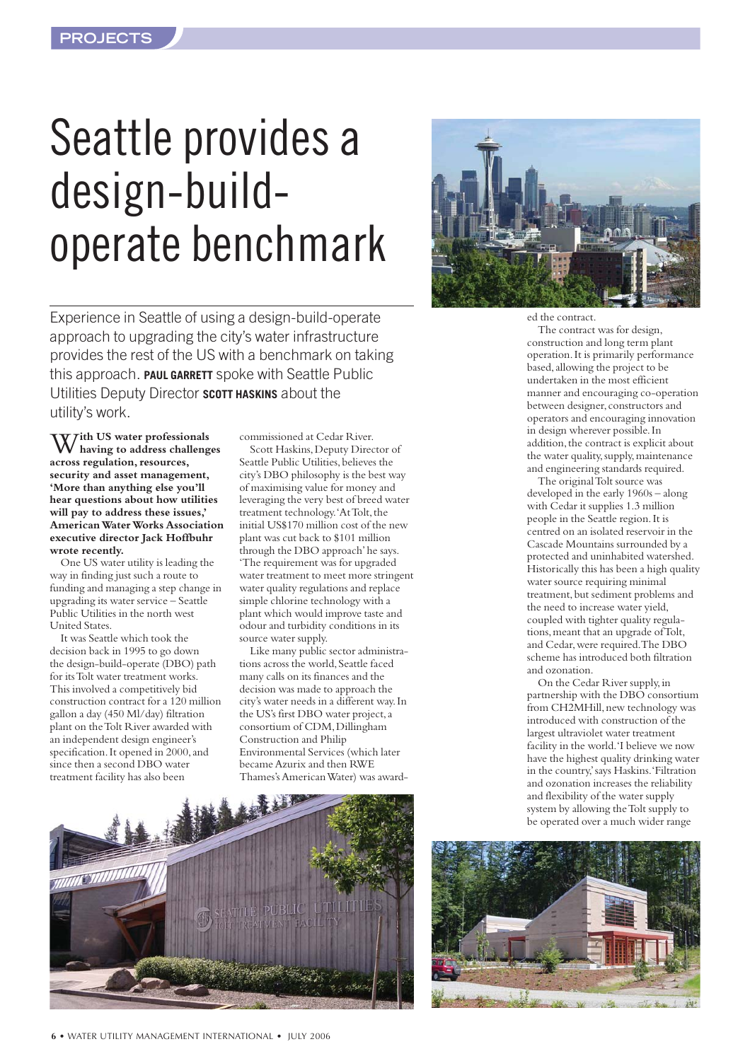# <span id="page-5-0"></span>Seattle provides a design-buildoperate benchmark



W**ith US water professionals having to address challenges across regulation, resources, security and asset management, 'More than anything else you'll hear questions about how utilities will pay to address these issues,' American Water Works Association executive director Jack Hoffbuhr wrote recently.**

One US water utility is leading the way in finding just such a route to funding and managing a step change in upgrading its water service – Seattle Public Utilities in the north west United States.

It was Seattle which took the decision back in 1995 to go down the design-build-operate (DBO) path for its Tolt water treatment works. This involved a competitively bid construction contract for a 120 million gallon a day (450 Ml/day) filtration plant on the Tolt River awarded with an independent design engineer's specification. It opened in 2000, and since then a second DBO water treatment facility has also been

commissioned at Cedar River. Scott Haskins, Deputy Director of Seattle Public Utilities, believes the city's DBO philosophy is the best way of maximising value for money and leveraging the very best of breed water treatment technology.'At Tolt, the initial US\$170 million cost of the new plant was cut back to \$101 million through the DBO approach'he says. 'The requirement was for upgraded water treatment to meet more stringent water quality regulations and replace simple chlorine technology with a plant which would improve taste and odour and turbidity conditions in its source water supply.

Like many public sector administrations across the world, Seattle faced many calls on its finances and the decision was made to approach the city's water needs in a different way.In the US's first DBO water project,a consortium of CDM,Dillingham Construction and Philip Environmental Services (which later became Azurix and then RWE Thames's American Water) was award-





ed the contract.

The contract was for design, construction and long term plant operation.It is primarily performance based,allowing the project to be undertaken in the most efficient manner and encouraging co-operation between designer, constructors and operators and encouraging innovation in design wherever possible.In addition, the contract is explicit about the water quality, supply, maintenance and engineering standards required.

The original Tolt source was developed in the early 1960s – along with Cedar it supplies 1.3 million people in the Seattle region.It is centred on an isolated reservoir in the Cascade Mountains surrounded by a protected and uninhabited watershed. Historically this has been a high quality water source requiring minimal treatment,but sediment problems and the need to increase water yield, coupled with tighter quality regulations, meant that an upgrade of Tolt, and Cedar, were required. The DBO scheme has introduced both filtration and ozonation.

On the Cedar River supply,in partnership with the DBO consortium from CH2MHill, new technology was introduced with construction of the largest ultraviolet water treatment facility in the world.'I believe we now have the highest quality drinking water in the country,'says Haskins.'Filtration and ozonation increases the reliability and flexibility of the water supply system by allowing the Tolt supply to be operated over a much wider range

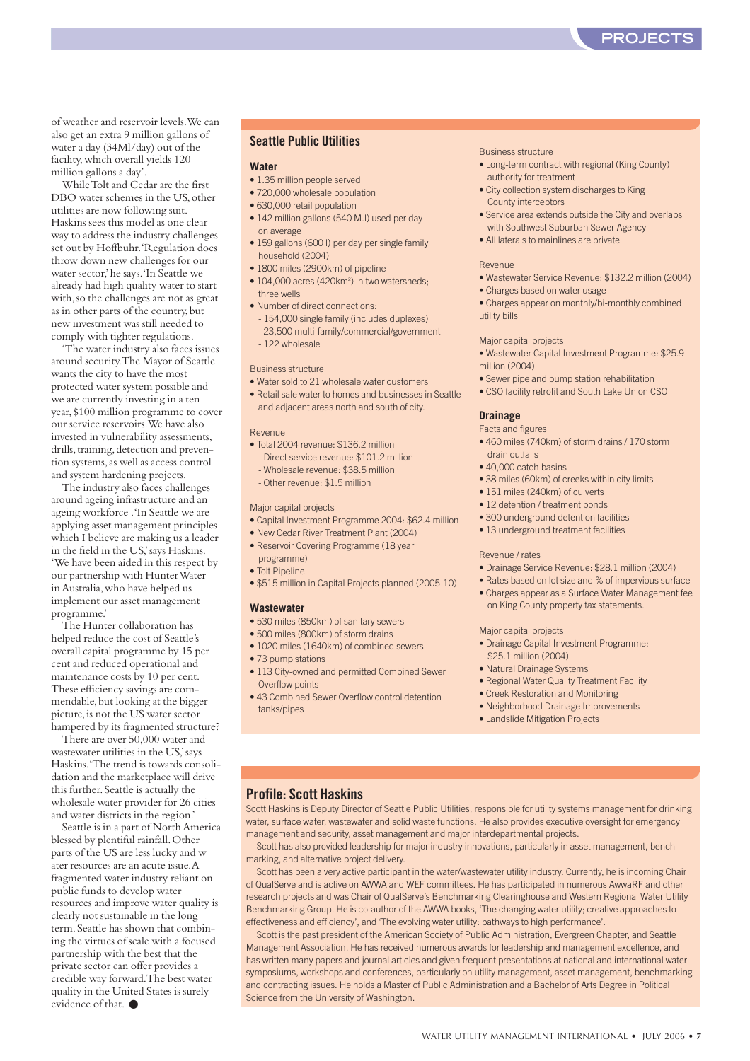of weather and reservoir levels.We can also get an extra 9 million gallons of water a day (34Ml/day) out of the facility,which overall yields 120 million gallons a day'.

While Tolt and Cedar are the first DBO water schemes in the US, other utilities are now following suit. Haskins sees this model as one clear way to address the industry challenges set out by Hoffbuhr.'Regulation does throw down new challenges for our water sector,'he says.'In Seattle we already had high quality water to start with,so the challenges are not as great as in other parts of the country, but new investment was still needed to comply with tighter regulations.

'The water industry also faces issues around security.The Mayor of Seattle wants the city to have the most protected water system possible and we are currently investing in a ten year,\$100 million programme to cover our service reservoirs.We have also invested in vulnerability assessments, drills, training, detection and prevention systems,as well as access control and system hardening projects.

The industry also faces challenges around ageing infrastructure and an ageing workforce .'In Seattle we are applying asset management principles which I believe are making us a leader in the field in the US,'says Haskins. 'We have been aided in this respect by our partnership with Hunter Water in Australia,who have helped us implement our asset management programme.'

The Hunter collaboration has helped reduce the cost of Seattle's overall capital programme by 15 per cent and reduced operational and maintenance costs by 10 per cent. These efficiency savings are commendable, but looking at the bigger picture, is not the US water sector hampered by its fragmented structure?

There are over 50,000 water and wastewater utilities in the US,'says Haskins.'The trend is towards consolidation and the marketplace will drive this further.Seattle is actually the wholesale water provider for 26 cities and water districts in the region.'

Seattle is in a part of North America blessed by plentiful rainfall.Other parts of the US are less lucky and w ater resources are an acute issue.A fragmented water industry reliant on public funds to develop water resources and improve water quality is clearly not sustainable in the long term.Seattle has shown that combining the virtues of scale with a focused partnership with the best that the private sector can offer provides a credible way forward.The best water quality in the United States is surely evidence of that. ●

#### **Seattle Public Utilities**

#### **Water**

- 1.35 million people served
- 720,000 wholesale population
- 630,000 retail population
- 142 million gallons (540 M.l) used per day on average
- 159 gallons (600 l) per day per single family household (2004)
- 1800 miles (2900km) of pipeline
- 104,000 acres (420km<sup>2</sup>) in two watersheds; three wells
- Number of direct connections: - 154,000 single family (includes duplexes) - 23,500 multi-family/commercial/government - 122 wholesale

#### Business structure

- Water sold to 21 wholesale water customers
- Retail sale water to homes and businesses in Seattle and adjacent areas north and south of city.

#### Revenue

- Total 2004 revenue: \$136.2 million
- Direct service revenue: \$101.2 million
- Wholesale revenue: \$38.5 million - Other revenue: \$1.5 million
- 

#### Major capital projects

- Capital Investment Programme 2004: \$62.4 million
- New Cedar River Treatment Plant (2004)
- Reservoir Covering Programme (18 year
- programme)
- Tolt Pipeline • \$515 million in Capital Projects planned (2005-10)
- 

#### **Wastewater**

- 530 miles (850km) of sanitary sewers
- 500 miles (800km) of storm drains
- 1020 miles (1640km) of combined sewers
- 73 pump stations
- 113 City-owned and permitted Combined Sewer Overflow points
- 43 Combined Sewer Overflow control detention tanks/pipes

#### Business structure

- Long-term contract with regional (King County) authority for treatment
- City collection system discharges to King County interceptors
- Service area extends outside the City and overlaps with Southwest Suburban Sewer Agency
- All laterals to mainlines are private

#### Revenue

- Wastewater Service Revenue: \$132.2 million (2004)
- Charges based on water usage
- Charges appear on monthly/bi-monthly combined utility bills

#### Major capital projects

- Wastewater Capital Investment Programme: \$25.9 million (2004)
- Sewer pipe and pump station rehabilitation
- CSO facility retrofit and South Lake Union CSO

#### **Drainage**

Facts and figures

- 460 miles (740km) of storm drains / 170 storm drain outfalls
- 40,000 catch basins
- 38 miles (60km) of creeks within city limits
- 151 miles (240km) of culverts
- 12 detention / treatment ponds
- 300 underground detention facilities
- 13 underground treatment facilities

#### Revenue / rates

- Drainage Service Revenue: \$28.1 million (2004)
- Rates based on lot size and % of impervious surface
- Charges appear as a Surface Water Management fee on King County property tax statements.

#### Major capital projects

- Drainage Capital Investment Programme: \$25.1 million (2004)
- Natural Drainage Systems
- Regional Water Quality Treatment Facility
- Creek Restoration and Monitoring
- Neighborhood Drainage Improvements
- Landslide Mitigation Projects

#### **Profile: Scott Haskins**

Scott Haskins is Deputy Director of Seattle Public Utilities, responsible for utility systems management for drinking water, surface water, wastewater and solid waste functions. He also provides executive oversight for emergency management and security, asset management and major interdepartmental projects.

Scott has also provided leadership for major industry innovations, particularly in asset management, benchmarking, and alternative project delivery.

Scott has been a very active participant in the water/wastewater utility industry. Currently, he is incoming Chair of QualServe and is active on AWWA and WEF committees. He has participated in numerous AwwaRF and other research projects and was Chair of QualServe's Benchmarking Clearinghouse and Western Regional Water Utility Benchmarking Group. He is co-author of the AWWA books, 'The changing water utility; creative approaches to effectiveness and efficiency', and 'The evolving water utility: pathways to high performance'.

Scott is the past president of the American Society of Public Administration, Evergreen Chapter, and Seattle Management Association. He has received numerous awards for leadership and management excellence, and has written many papers and journal articles and given frequent presentations at national and international water symposiums, workshops and conferences, particularly on utility management, asset management, benchmarking and contracting issues. He holds a Master of Public Administration and a Bachelor of Arts Degree in Political Science from the University of Washington.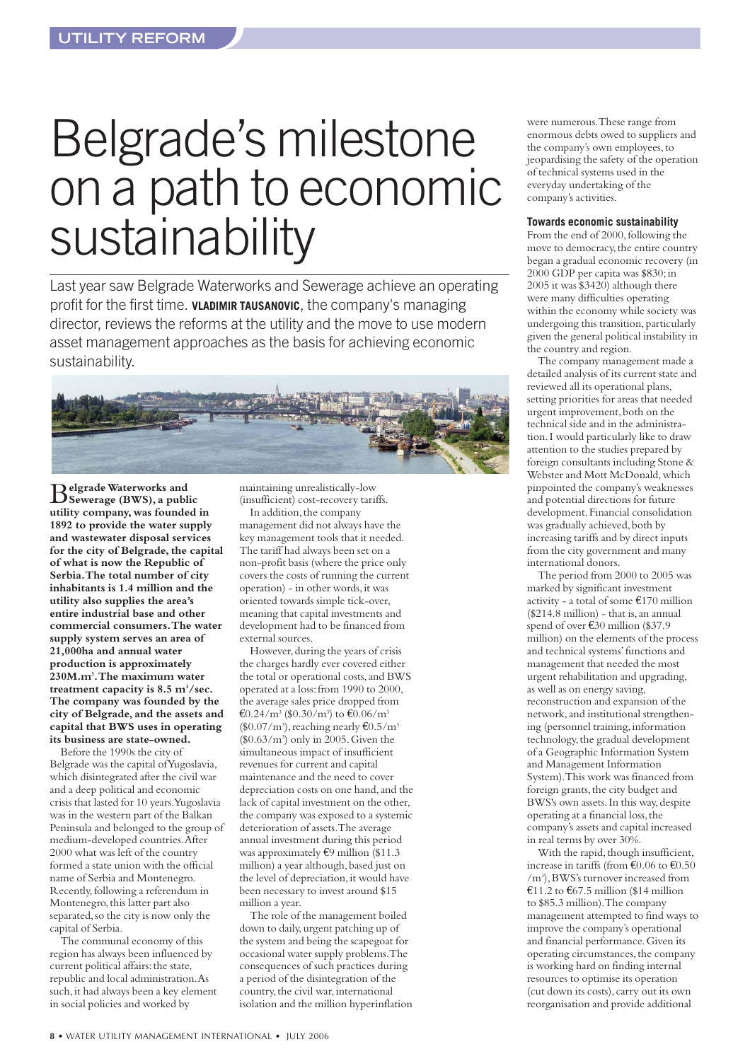# <span id="page-7-0"></span>Belgrade's milestone on a path to economic sustainability

Last year saw Belgrade Waterworks and Sewerage achieve an operating profit for the first time. **VLADIMIR TAUSANOVIC**, the company's managing director, reviews the reforms at the utility and the move to use modern asset management approaches as the basis for achieving economic sustainability.



B**elgrade Waterworks and Sewerage (BWS), a public utility company,was founded in 1892 to provide the water supply and wastewater disposal services** for the city of Belgrade, the capital **of what is now the Republic of Serbia.The total number of city inhabitants is 1.4 million and the utility also supplies the area's entire industrial base and other commercial consumers.The water supply system serves an area of 21,000ha and annual water production is approximately 230M.m3 .The maximum water treatment capacity is 8.5 m3 /sec. The company was founded by the city of Belgrade,and the assets and capital that BWS uses in operating its business are state-owned.**

Before the 1990s the city of Belgrade was the capital of Yugoslavia, which disintegrated after the civil war and a deep political and economic crisis that lasted for 10 years.Yugoslavia was in the western part of the Balkan Peninsula and belonged to the group of medium-developed countries.After 2000 what was left of the country formed a state union with the official name of Serbia and Montenegro. Recently, following a referendum in Montenegro, this latter part also separated, so the city is now only the capital of Serbia.

The communal economy of this region has always been influenced by current political affairs: the state, republic and local administration.As such, it had always been a key element in social policies and worked by

maintaining unrealistically-low (insufficient) cost-recovery tariffs. In addition, the company management did not always have the

key management tools that it needed. The tariff had always been set on a non-profit basis (where the price only covers the costs of running the current operation) - in other words,it was oriented towards simple tick-over, meaning that capital investments and development had to be financed from external sources.

However, during the years of crisis the charges hardly ever covered either the total or operational costs,and BWS operated at a loss:from 1990 to 2000, the average sales price dropped from €0.24/m<sup>3</sup> (\$0.30/m<sup>3</sup>) to €0.06/m<sup>3</sup>  $(\$0.07/m^3)$ , reaching nearly  $€0.5/m^3$ (\$0.63/m3 ) only in 2005.Given the simultaneous impact of insufficient revenues for current and capital maintenance and the need to cover depreciation costs on one hand, and the lack of capital investment on the other, the company was exposed to a systemic deterioration of assets.The average annual investment during this period was approximately €9 million (\$11.3 million) a year although, based just on the level of depreciation, it would have been necessary to invest around \$15 million a year.

The role of the management boiled down to daily,urgent patching up of the system and being the scapegoat for occasional water supply problems.The consequences of such practices during a period of the disintegration of the country, the civil war, international isolation and the million hyperinflation

were numerous.These range from enormous debts owed to suppliers and the company's own employees,to jeopardising the safety of the operation of technical systems used in the everyday undertaking of the company's activities.

#### **Towards economic sustainability**

From the end of 2000, following the move to democracy, the entire country began a gradual economic recovery (in 2000 GDP per capita was \$830;in 2005 it was \$3420) although there were many difficulties operating within the economy while society was undergoing this transition, particularly given the general political instability in the country and region.

The company management made a detailed analysis of its current state and reviewed all its operational plans, setting priorities for areas that needed urgent improvement, both on the technical side and in the administration.I would particularly like to draw attention to the studies prepared by foreign consultants including Stone & Webster and Mott McDonald, which pinpointed the company's weaknesses and potential directions for future development.Financial consolidation was gradually achieved, both by increasing tariffs and by direct inputs from the city government and many international donors.

The period from 2000 to 2005 was marked by significant investment activity - a total of some €170 million (\$214.8 million) - that is,an annual spend of over €30 million (\$37.9 million) on the elements of the process and technical systems'functions and management that needed the most urgent rehabilitation and upgrading, as well as on energy saving, reconstruction and expansion of the network,and institutional strengthening (personnel training, information technology,the gradual development of a Geographic Information System and Management Information System).This work was financed from foreign grants, the city budget and BWS's own assets. In this way, despite operating at a financial loss,the company's assets and capital increased in real terms by over 30%.

With the rapid, though insufficient, increase in tariffs (from  $\text{\textsterling}0.06$  to  $\text{\textsterling}0.50$ /m3 ),BWS's turnover increased from €11.2 to €67.5 million (\$14 million to \$85.3 million).The company management attempted to find ways to improve the company's operational and financial performance.Given its operating circumstances, the company is working hard on finding internal resources to optimise its operation (cut down its costs), carry out its own reorganisation and provide additional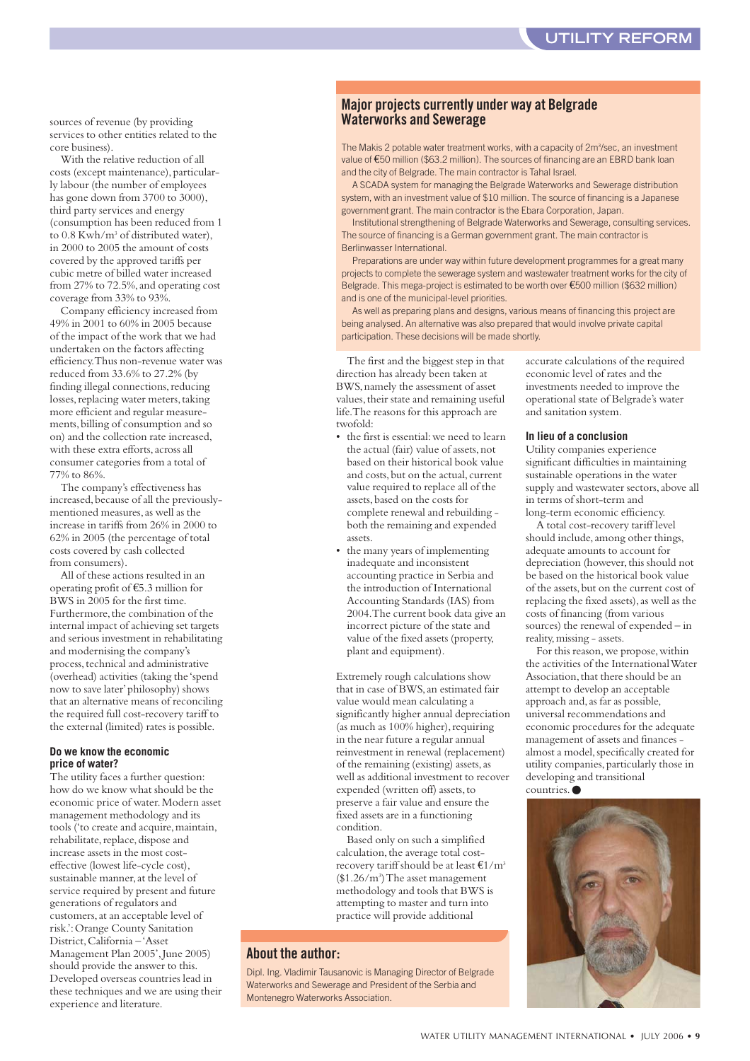sources of revenue (by providing services to other entities related to the core business).

With the relative reduction of all costs (except maintenance), particularly labour (the number of employees has gone down from 3700 to 3000), third party services and energy (consumption has been reduced from 1 to 0.8 Kwh/m<sup>3</sup> of distributed water), in 2000 to 2005 the amount of costs covered by the approved tariffs per cubic metre of billed water increased from 27% to 72.5%, and operating cost coverage from 33% to 93%.

Company efficiency increased from 49% in 2001 to 60% in 2005 because of the impact of the work that we had undertaken on the factors affecting efficiency.Thus non-revenue water was reduced from 33.6% to 27.2% (by finding illegal connections, reducing losses, replacing water meters, taking more efficient and regular measurements,billing of consumption and so on) and the collection rate increased, with these extra efforts,across all consumer categories from a total of 77% to 86%.

The company's effectiveness has increased,because of all the previouslymentioned measures,as well as the increase in tariffs from 26% in 2000 to 62% in 2005 (the percentage of total costs covered by cash collected from consumers).

All of these actions resulted in an operating profit of €5.3 million for BWS in 2005 for the first time. Furthermore, the combination of the internal impact of achieving set targets and serious investment in rehabilitating and modernising the company's process, technical and administrative (overhead) activities (taking the 'spend now to save later'philosophy) shows that an alternative means of reconciling the required full cost-recovery tariff to the external (limited) rates is possible.

#### **Do we know the economic price of water?**

The utility faces a further question: how do we know what should be the economic price of water.Modern asset management methodology and its tools ('to create and acquire, maintain, rehabilitate, replace, dispose and increase assets in the most costeffective (lowest life-cycle cost), sustainable manner,at the level of service required by present and future generations of regulators and customers, at an acceptable level of risk.':Orange County Sanitation District, California - 'Asset Management Plan 2005', June 2005) should provide the answer to this. Developed overseas countries lead in these techniques and we are using their experience and literature.

#### **Major projects currently under way at Belgrade Waterworks and Sewerage**

The Makis 2 potable water treatment works, with a capacity of 2m<sup>3</sup>/sec, an investment value of €50 million (\$63.2 million). The sources of financing are an EBRD bank loan and the city of Belgrade. The main contractor is Tahal Israel.

A SCADA system for managing the Belgrade Waterworks and Sewerage distribution system, with an investment value of \$10 million. The source of financing is a Japanese government grant. The main contractor is the Ebara Corporation, Japan.

Institutional strengthening of Belgrade Waterworks and Sewerage, consulting services. The source of financing is a German government grant. The main contractor is Berlinwasser International.

Preparations are under way within future development programmes for a great many projects to complete the sewerage system and wastewater treatment works for the city of Belgrade. This mega-project is estimated to be worth over €500 million (\$632 million) and is one of the municipal-level priorities.

As well as preparing plans and designs, various means of financing this project are being analysed. An alternative was also prepared that would involve private capital participation. These decisions will be made shortly.

The first and the biggest step in that direction has already been taken at BWS,namely the assessment of asset values, their state and remaining useful life.The reasons for this approach are twofold:

- the first is essential:we need to learn the actual (fair) value of assets, not based on their historical book value and costs, but on the actual, current value required to replace all of the assets,based on the costs for complete renewal and rebuilding both the remaining and expended assets.
- the many years of implementing inadequate and inconsistent accounting practice in Serbia and the introduction of International Accounting Standards (IAS) from 2004.The current book data give an incorrect picture of the state and value of the fixed assets (property, plant and equipment).

Extremely rough calculations show that in case of BWS, an estimated fair value would mean calculating a significantly higher annual depreciation (as much as 100% higher), requiring in the near future a regular annual reinvestment in renewal (replacement) of the remaining (existing) assets,as well as additional investment to recover expended (written off) assets,to preserve a fair value and ensure the fixed assets are in a functioning condition.

Based only on such a simplified calculation, the average total costrecovery tariff should be at least  $\epsilon$ 1/m<sup>3</sup> (\$1.26/m3 ) The asset management methodology and tools that BWS is attempting to master and turn into practice will provide additional

#### **About the author:**

Dipl. Ing. Vladimir Tausanovic is Managing Director of Belgrade Waterworks and Sewerage and President of the Serbia and Montenegro Waterworks Association.

accurate calculations of the required economic level of rates and the investments needed to improve the operational state of Belgrade's water and sanitation system.

#### **In lieu of a conclusion**

Utility companies experience significant difficulties in maintaining sustainable operations in the water supply and wastewater sectors, above all in terms of short-term and long-term economic efficiency.

A total cost-recovery tariff level should include,among other things, adequate amounts to account for depreciation (however, this should not be based on the historical book value of the assets,but on the current cost of replacing the fixed assets), as well as the costs of financing (from various sources) the renewal of expended – in reality,missing - assets.

For this reason, we propose, within the activities of the International Water Association, that there should be an attempt to develop an acceptable approach and,as far as possible, universal recommendations and economic procedures for the adequate management of assets and finances almost a model, specifically created for utility companies,particularly those in developing and transitional countries.●

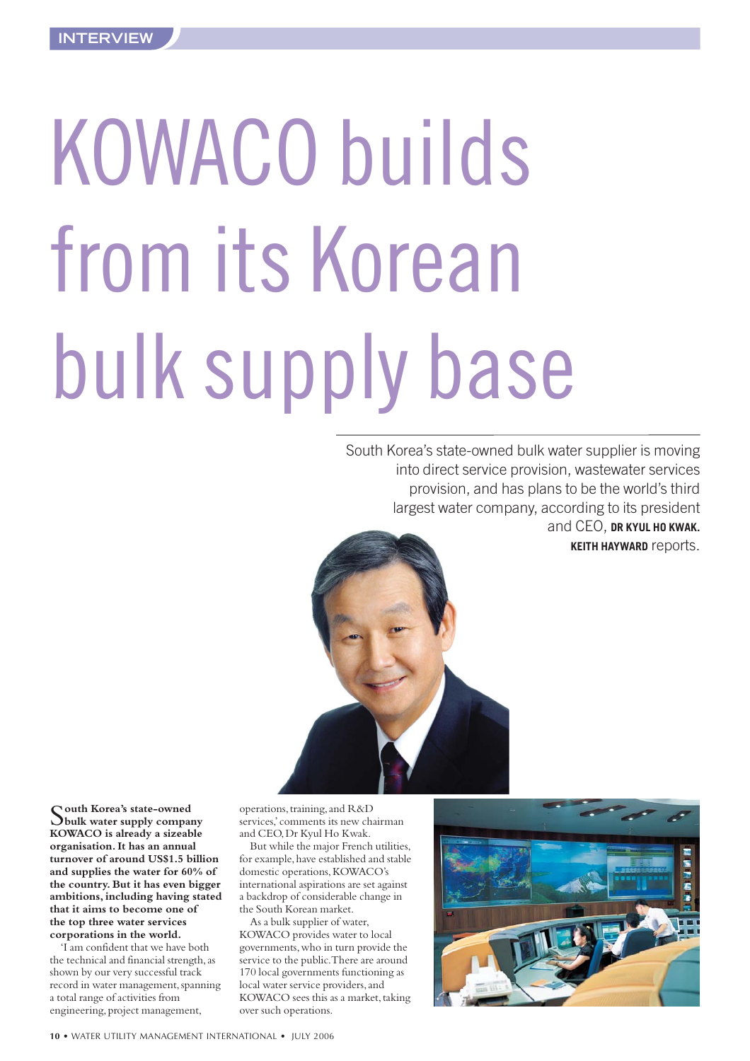# <span id="page-9-0"></span>KOWACO builds from its Korean bulk supply base

South Korea's state-owned bulk water supplier is moving into direct service provision, wastewater services provision, and has plans to be the world's third largest water company, according to its president and CEO, **DR KYUL HO KWAK.** 

**KEITH HAYWARD** reports.



S**outh Korea's state-owned bulk water supply company KOWACO is already a sizeable organisation. It has an annual turnover of around US\$1.5 billion and supplies the water for 60% of the country.But it has even bigger ambitions, including having stated that it aims to become one of the top three water services corporations in the world.**

'I am confident that we have both the technical and financial strength, as shown by our very successful track record in water management, spanning a total range of activities from engineering, project management,

operations, training, and R&D services,'comments its new chairman and CEO,Dr Kyul Ho Kwak.

But while the major French utilities, for example,have established and stable domestic operations,KOWACO's international aspirations are set against a backdrop of considerable change in the South Korean market.

As a bulk supplier of water, KOWACO provides water to local governments,who in turn provide the service to the public.There are around 170 local governments functioning as local water service providers, and KOWACO sees this as a market, taking over such operations.

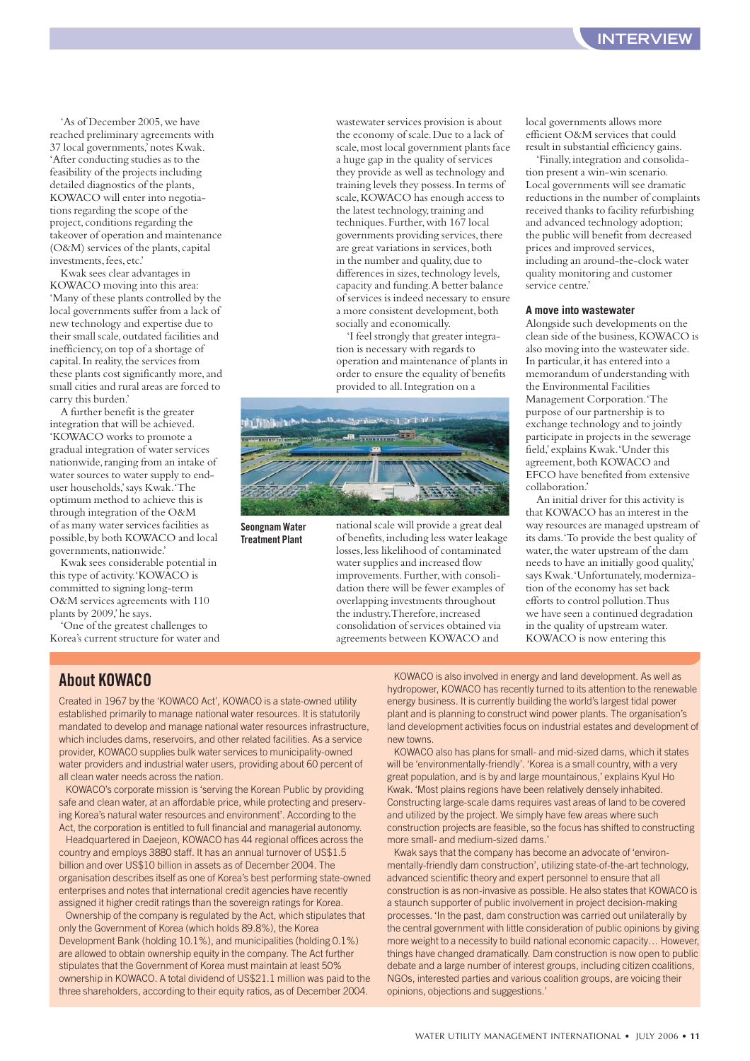'As of December 2005,we have reached preliminary agreements with 37 local governments,'notes Kwak. 'After conducting studies as to the feasibility of the projects including detailed diagnostics of the plants, KOWACO will enter into negotiations regarding the scope of the project, conditions regarding the takeover of operation and maintenance (O&M) services of the plants, capital investments,fees,etc.'

Kwak sees clear advantages in KOWACO moving into this area: 'Many of these plants controlled by the local governments suffer from a lack of new technology and expertise due to their small scale, outdated facilities and inefficiency,on top of a shortage of capital. In reality, the services from these plants cost significantly more, and small cities and rural areas are forced to carry this burden.'

A further benefit is the greater integration that will be achieved. 'KOWACO works to promote a gradual integration of water services nationwide, ranging from an intake of water sources to water supply to enduser households,'says Kwak.'The optimum method to achieve this is through integration of the O&M of as many water services facilities as possible,by both KOWACO and local governments,nationwide.'

Kwak sees considerable potential in this type of activity.'KOWACO is committed to signing long-term O&M services agreements with 110 plants by 2009,'he says.

'One of the greatest challenges to Korea's current structure for water and

wastewater services provision is about the economy of scale.Due to a lack of scale,most local government plants face a huge gap in the quality of services they provide as well as technology and training levels they possess.In terms of scale,KOWACO has enough access to the latest technology, training and techniques.Further,with 167 local governments providing services, there are great variations in services, both in the number and quality, due to differences in sizes, technology levels, capacity and funding.A better balance of services is indeed necessary to ensure a more consistent development, both socially and economically.

'I feel strongly that greater integration is necessary with regards to operation and maintenance of plants in order to ensure the equality of benefits provided to all.Integration on a



**Seongnam Water Treatment Plant**

national scale will provide a great deal of benefits,including less water leakage losses,less likelihood of contaminated water supplies and increased flow improvements. Further, with consolidation there will be fewer examples of overlapping investments throughout the industry.Therefore,increased consolidation of services obtained via agreements between KOWACO and

local governments allows more efficient O&M services that could result in substantial efficiency gains.

'Finally,integration and consolidation present a win-win scenario. Local governments will see dramatic reductions in the number of complaints received thanks to facility refurbishing and advanced technology adoption; the public will benefit from decreased prices and improved services, including an around-the-clock water quality monitoring and customer service centre.'

#### **A move into wastewater**

Alongside such developments on the clean side of the business,KOWACO is also moving into the wastewater side. In particular,it has entered into a memorandum of understanding with the Environmental Facilities Management Corporation.'The purpose of our partnership is to exchange technology and to jointly participate in projects in the sewerage field,'explains Kwak.'Under this agreement, both KOWACO and EFCO have benefited from extensive collaboration.'

An initial driver for this activity is that KOWACO has an interest in the way resources are managed upstream of its dams.'To provide the best quality of water, the water upstream of the dam needs to have an initially good quality,' says Kwak.'Unfortunately, modernization of the economy has set back efforts to control pollution.Thus we have seen a continued degradation in the quality of upstream water. KOWACO is now entering this

#### **About KOWACO**

Created in 1967 by the 'KOWACO Act', KOWACO is a state-owned utility established primarily to manage national water resources. It is statutorily mandated to develop and manage national water resources infrastructure, which includes dams, reservoirs, and other related facilities. As a service provider, KOWACO supplies bulk water services to municipality-owned water providers and industrial water users, providing about 60 percent of all clean water needs across the nation.

KOWACO's corporate mission is 'serving the Korean Public by providing safe and clean water, at an affordable price, while protecting and preserving Korea's natural water resources and environment'. According to the Act, the corporation is entitled to full financial and managerial autonomy.

Headquartered in Daejeon, KOWACO has 44 regional offices across the country and employs 3880 staff. It has an annual turnover of US\$1.5 billion and over US\$10 billion in assets as of December 2004. The organisation describes itself as one of Korea's best performing state-owned enterprises and notes that international credit agencies have recently assigned it higher credit ratings than the sovereign ratings for Korea.

Ownership of the company is regulated by the Act, which stipulates that only the Government of Korea (which holds 89.8%), the Korea Development Bank (holding 10.1%), and municipalities (holding 0.1%) are allowed to obtain ownership equity in the company. The Act further stipulates that the Government of Korea must maintain at least 50% ownership in KOWACO. A total dividend of US\$21.1 million was paid to the three shareholders, according to their equity ratios, as of December 2004.

KOWACO is also involved in energy and land development. As well as hydropower, KOWACO has recently turned to its attention to the renewable energy business. It is currently building the world's largest tidal power plant and is planning to construct wind power plants. The organisation's land development activities focus on industrial estates and development of new towns.

KOWACO also has plans for small- and mid-sized dams, which it states will be 'environmentally-friendly'. 'Korea is a small country, with a very great population, and is by and large mountainous,' explains Kyul Ho Kwak. 'Most plains regions have been relatively densely inhabited. Constructing large-scale dams requires vast areas of land to be covered and utilized by the project. We simply have few areas where such construction projects are feasible, so the focus has shifted to constructing more small- and medium-sized dams.'

Kwak says that the company has become an advocate of 'environmentally-friendly dam construction', utilizing state-of-the-art technology, advanced scientific theory and expert personnel to ensure that all construction is as non-invasive as possible. He also states that KOWACO is a staunch supporter of public involvement in project decision-making processes. 'In the past, dam construction was carried out unilaterally by the central government with little consideration of public opinions by giving more weight to a necessity to build national economic capacity… However, things have changed dramatically. Dam construction is now open to public debate and a large number of interest groups, including citizen coalitions, NGOs, interested parties and various coalition groups, are voicing their opinions, objections and suggestions.'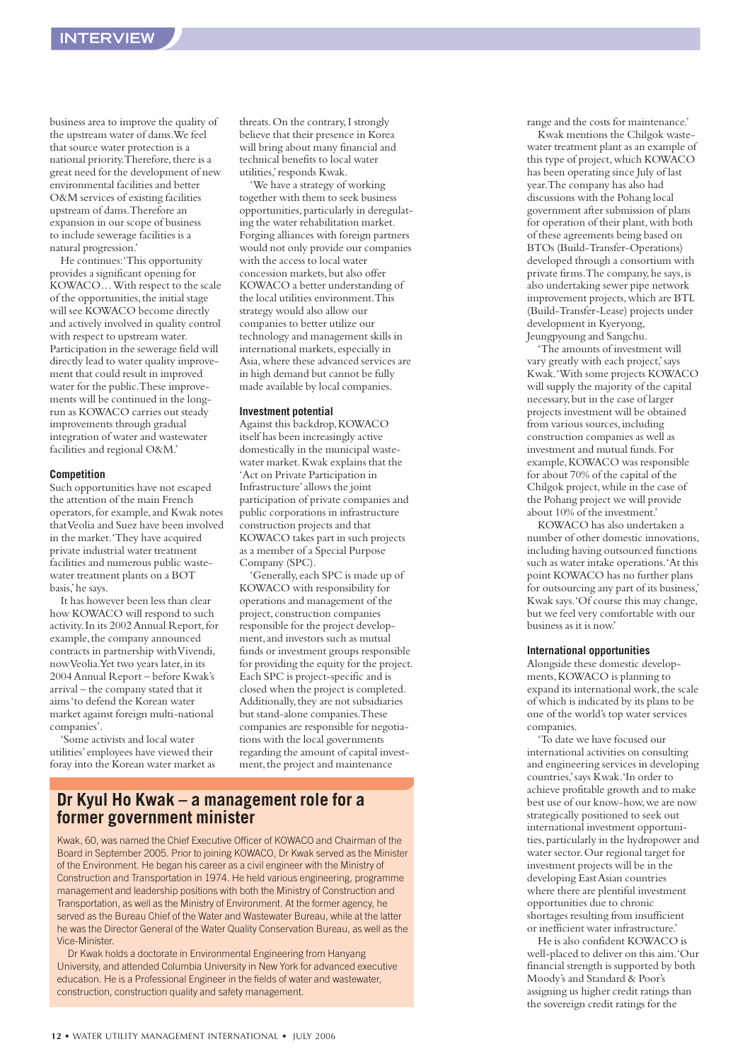business area to improve the quality of the upstream water of dams.We feel that source water protection is a national priority. Therefore, there is a great need for the development of new environmental facilities and better O&M services of existing facilities upstream of dams.Therefore an expansion in our scope of business to include sewerage facilities is a natural progression.'

He continues:'This opportunity provides a significant opening for KOWACO… With respect to the scale of the opportunities, the initial stage will see KOWACO become directly and actively involved in quality control with respect to upstream water. Participation in the sewerage field will directly lead to water quality improvement that could result in improved water for the public.These improvements will be continued in the longrun as KOWACO carries out steady improvements through gradual integration of water and wastewater facilities and regional O&M.'

#### **Competition**

Such opportunities have not escaped the attention of the main French operators,for example,and Kwak notes that Veolia and Suez have been involved in the market.'They have acquired private industrial water treatment facilities and numerous public wastewater treatment plants on a BOT basis,'he says.

It has however been less than clear how KOWACO will respond to such activity. In its 2002 Annual Report, for example, the company announced contracts in partnership with Vivendi, now Veolia. Yet two years later, in its 2004 Annual Report – before Kwak's arrival – the company stated that it aims 'to defend the Korean water market against foreign multi-national companies'.

'Some activists and local water utilities'employees have viewed their foray into the Korean water market as threats. On the contrary, I strongly believe that their presence in Korea will bring about many financial and technical benefits to local water utilities,' responds Kwak.

'We have a strategy of working together with them to seek business opportunities,particularly in deregulating the water rehabilitation market. Forging alliances with foreign partners would not only provide our companies with the access to local water concession markets, but also offer KOWACO a better understanding of the local utilities environment.This strategy would also allow our companies to better utilize our technology and management skills in international markets, especially in Asia,where these advanced services are in high demand but cannot be fully made available by local companies.

#### **Investment potential**

Against this backdrop,KOWACO itself has been increasingly active domestically in the municipal wastewater market.Kwak explains that the 'Act on Private Participation in Infrastructure'allows the joint participation of private companies and public corporations in infrastructure construction projects and that KOWACO takes part in such projects as a member of a Special Purpose Company (SPC).

'Generally,each SPC is made up of KOWACO with responsibility for operations and management of the project, construction companies responsible for the project development,and investors such as mutual funds or investment groups responsible for providing the equity for the project. Each SPC is project-specific and is closed when the project is completed. Additionally,they are not subsidiaries but stand-alone companies.These companies are responsible for negotiations with the local governments regarding the amount of capital investment, the project and maintenance

#### **Dr Kyul Ho Kwak – a management role for a former government minister**

Kwak, 60, was named the Chief Executive Officer of KOWACO and Chairman of the Board in September 2005. Prior to joining KOWACO, Dr Kwak served as the Minister of the Environment. He began his career as a civil engineer with the Ministry of Construction and Transportation in 1974. He held various engineering, programme management and leadership positions with both the Ministry of Construction and Transportation, as well as the Ministry of Environment. At the former agency, he served as the Bureau Chief of the Water and Wastewater Bureau, while at the latter he was the Director General of the Water Quality Conservation Bureau, as well as the Vice-Minister.

Dr Kwak holds a doctorate in Environmental Engineering from Hanyang University, and attended Columbia University in New York for advanced executive education. He is a Professional Engineer in the fields of water and wastewater, construction, construction quality and safety management.

range and the costs for maintenance.'

Kwak mentions the Chilgok wastewater treatment plant as an example of this type of project,which KOWACO has been operating since July of last year.The company has also had discussions with the Pohang local government after submission of plans for operation of their plant, with both of these agreements being based on BTOs (Build-Transfer-Operations) developed through a consortium with private firms. The company, he says, is also undertaking sewer pipe network improvement projects,which are BTL (Build-Transfer-Lease) projects under development in Kyeryong, Jeungpyoung and Sangchu.

'The amounts of investment will vary greatly with each project,'says Kwak.'With some projects KOWACO will supply the majority of the capital necessary,but in the case of larger projects investment will be obtained from various sources, including construction companies as well as investment and mutual funds.For example,KOWACO was responsible for about 70% of the capital of the Chilgok project,while in the case of the Pohang project we will provide about 10% of the investment.'

KOWACO has also undertaken a number of other domestic innovations, including having outsourced functions such as water intake operations.'At this point KOWACO has no further plans for outsourcing any part of its business,' Kwak says.'Of course this may change, but we feel very comfortable with our business as it is now.'

#### **International opportunities**

Alongside these domestic developments, KOWACO is planning to expand its international work, the scale of which is indicated by its plans to be one of the world's top water services companies.

'To date we have focused our international activities on consulting and engineering services in developing countries,'says Kwak.'In order to achieve profitable growth and to make best use of our know-how,we are now strategically positioned to seek out international investment opportunities,particularly in the hydropower and water sector.Our regional target for investment projects will be in the developing East Asian countries where there are plentiful investment opportunities due to chronic shortages resulting from insufficient or inefficient water infrastructure.'

He is also confident KOWACO is well-placed to deliver on this aim.'Our financial strength is supported by both Moody's and Standard & Poor's assigning us higher credit ratings than the sovereign credit ratings for the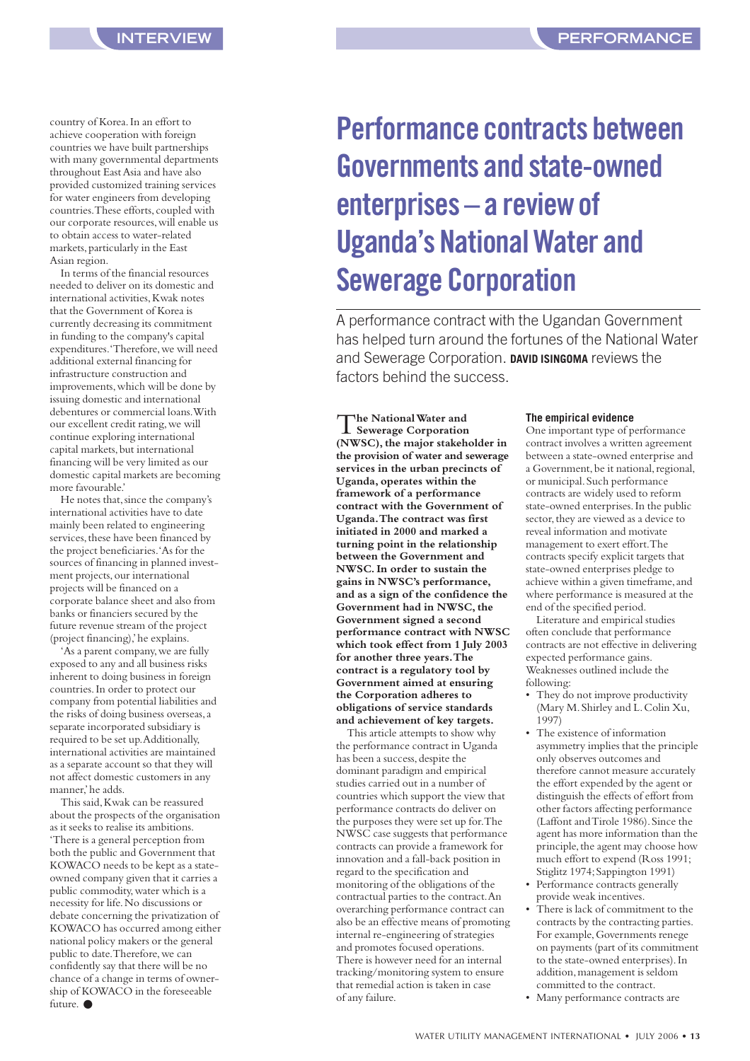<span id="page-12-0"></span>country of Korea.In an effort to achieve cooperation with foreign countries we have built partnerships with many governmental departments throughout East Asia and have also provided customized training services for water engineers from developing countries. These efforts, coupled with our corporate resources,will enable us to obtain access to water-related markets,particularly in the East Asian region.

In terms of the financial resources needed to deliver on its domestic and international activities, Kwak notes that the Government of Korea is currently decreasing its commitment in funding to the company's capital expenditures.'Therefore,we will need additional external financing for infrastructure construction and improvements,which will be done by issuing domestic and international debentures or commercial loans.With our excellent credit rating,we will continue exploring international capital markets, but international financing will be very limited as our domestic capital markets are becoming more favourable.'

He notes that, since the company's international activities have to date mainly been related to engineering services, these have been financed by the project beneficiaries.'As for the sources of financing in planned investment projects, our international projects will be financed on a corporate balance sheet and also from banks or financiers secured by the future revenue stream of the project (project financing),'he explains.

'As a parent company, we are fully exposed to any and all business risks inherent to doing business in foreign countries.In order to protect our company from potential liabilities and the risks of doing business overseas,a separate incorporated subsidiary is required to be set up.Additionally, international activities are maintained as a separate account so that they will not affect domestic customers in any manner'he adds.

This said,Kwak can be reassured about the prospects of the organisation as it seeks to realise its ambitions. 'There is a general perception from both the public and Government that KOWACO needs to be kept as a stateowned company given that it carries a public commodity, water which is a necessity for life.No discussions or debate concerning the privatization of KOWACO has occurred among either national policy makers or the general public to date. Therefore, we can confidently say that there will be no chance of a change in terms of ownership of KOWACO in the foreseeable  $f$ uture $\bullet$ 

## **Performance contracts between Governments and state-owned enterprises – a review of Uganda's National Water and Sewerage Corporation**

A performance contract with the Ugandan Government has helped turn around the fortunes of the National Water and Sewerage Corporation. **DAVID ISINGOMA** reviews the factors behind the success.

T**he National Water and Sewerage Corporation (NWSC), the major stakeholder in the provision of water and sewerage services in the urban precincts of Uganda, operates within the framework of a performance contract with the Government of Uganda.The contract was first initiated in 2000 and marked a turning point in the relationship between the Government and NWSC.In order to sustain the gains in NWSC's performance, and as a sign of the confidence the** Government had in NWSC, the **Government signed a second performance contract with NWSC which took effect from 1 July 2003 for another three years.The contract is a regulatory tool by Government aimed at ensuring the Corporation adheres to obligations of service standards and achievement of key targets.**

This article attempts to show why the performance contract in Uganda has been a success, despite the dominant paradigm and empirical studies carried out in a number of countries which support the view that performance contracts do deliver on the purposes they were set up for.The NWSC case suggests that performance contracts can provide a framework for innovation and a fall-back position in regard to the specification and monitoring of the obligations of the contractual parties to the contract.An overarching performance contract can also be an effective means of promoting internal re-engineering of strategies and promotes focused operations. There is however need for an internal tracking/monitoring system to ensure that remedial action is taken in case of any failure.

#### **The empirical evidence**

One important type of performance contract involves a written agreement between a state-owned enterprise and a Government, be it national, regional, or municipal.Such performance contracts are widely used to reform state-owned enterprises.In the public sector, they are viewed as a device to reveal information and motivate management to exert effort.The contracts specify explicit targets that state-owned enterprises pledge to achieve within a given timeframe, and where performance is measured at the end of the specified period.

Literature and empirical studies often conclude that performance contracts are not effective in delivering expected performance gains. Weaknesses outlined include the following:

- They do not improve productivity (Mary M.Shirley and L.Colin Xu, 1997)
- The existence of information asymmetry implies that the principle only observes outcomes and therefore cannot measure accurately the effort expended by the agent or distinguish the effects of effort from other factors affecting performance (Laffont and Tirole 1986).Since the agent has more information than the principle, the agent may choose how much effort to expend (Ross 1991; Stiglitz 1974; Sappington 1991)
- Performance contracts generally provide weak incentives.
- There is lack of commitment to the contracts by the contracting parties. For example,Governments renege on payments (part of its commitment to the state-owned enterprises).In addition,management is seldom committed to the contract.
- Many performance contracts are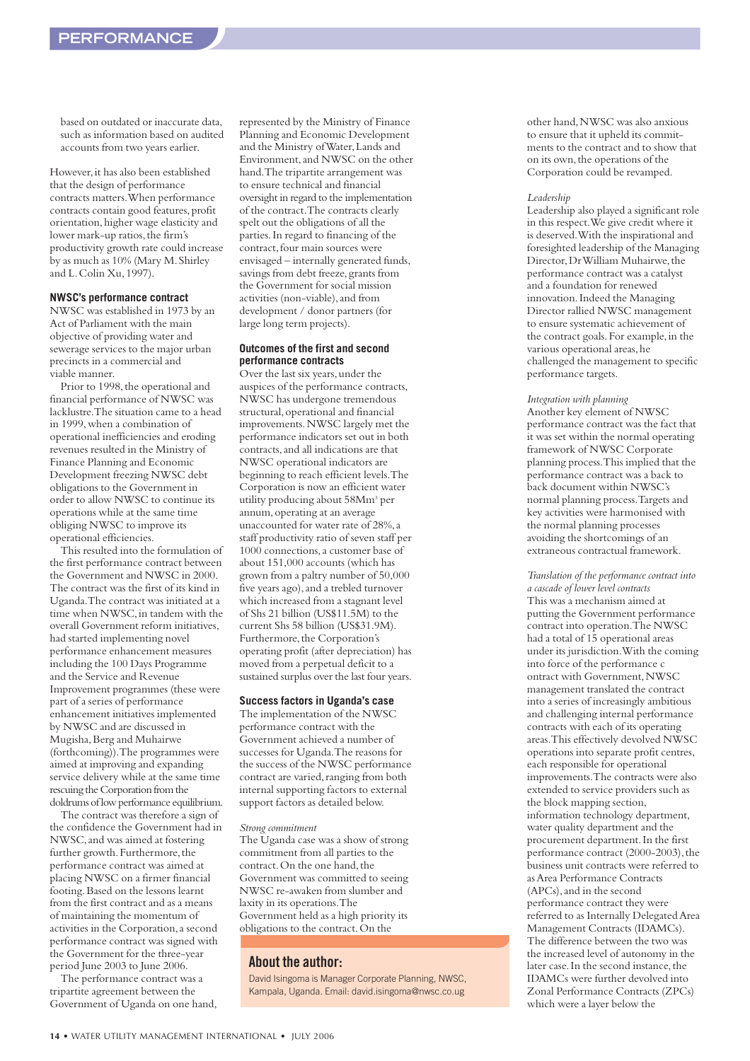based on outdated or inaccurate data, such as information based on audited accounts from two years earlier.

However, it has also been established that the design of performance contracts matters.When performance contracts contain good features, profit orientation,higher wage elasticity and lower mark-up ratios, the firm's productivity growth rate could increase by as much as 10% (Mary M.Shirley and L.Colin Xu,1997).

#### **NWSC's performance contract**

NWSC was established in 1973 by an Act of Parliament with the main objective of providing water and sewerage services to the major urban precincts in a commercial and viable manner.

Prior to 1998, the operational and financial performance of NWSC was lacklustre.The situation came to a head in 1999,when a combination of operational inefficiencies and eroding revenues resulted in the Ministry of Finance Planning and Economic Development freezing NWSC debt obligations to the Government in order to allow NWSC to continue its operations while at the same time obliging NWSC to improve its operational efficiencies.

This resulted into the formulation of the first performance contract between the Government and NWSC in 2000. The contract was the first of its kind in Uganda.The contract was initiated at a time when NWSC, in tandem with the overall Government reform initiatives, had started implementing novel performance enhancement measures including the 100 Days Programme and the Service and Revenue Improvement programmes (these were part of a series of performance enhancement initiatives implemented by NWSC and are discussed in Mugisha,Berg and Muhairwe (forthcoming)).The programmes were aimed at improving and expanding service delivery while at the same time rescuing the Corporation from the doldrums of low performance equilibrium.

The contract was therefore a sign of the confidence the Government had in NWSC,and was aimed at fostering further growth. Furthermore, the performance contract was aimed at placing NWSC on a firmer financial footing.Based on the lessons learnt from the first contract and as a means of maintaining the momentum of activities in the Corporation,a second performance contract was signed with the Government for the three-year period June 2003 to June 2006.

The performance contract was a tripartite agreement between the Government of Uganda on one hand, represented by the Ministry of Finance Planning and Economic Development and the Ministry of Water,Lands and Environment,and NWSC on the other hand.The tripartite arrangement was to ensure technical and financial oversight in regard to the implementation of the contract.The contracts clearly spelt out the obligations of all the parties.In regard to financing of the contract, four main sources were envisaged – internally generated funds, savings from debt freeze, grants from the Government for social mission activities (non-viable), and from development / donor partners (for large long term projects).

#### **Outcomes of the first and second performance contracts**

Over the last six years, under the auspices of the performance contracts, NWSC has undergone tremendous structural,operational and financial improvements.NWSC largely met the performance indicators set out in both contracts,and all indications are that NWSC operational indicators are beginning to reach efficient levels.The Corporation is now an efficient water utility producing about 58Mm3 per annum,operating at an average unaccounted for water rate of 28%, a staff productivity ratio of seven staff per 1000 connections,a customer base of about 151,000 accounts (which has grown from a paltry number of 50,000 five years ago),and a trebled turnover which increased from a stagnant level of Shs 21 billion (US\$11.5M) to the current Shs 58 billion (US\$31.9M). Furthermore, the Corporation's operating profit (after depreciation) has moved from a perpetual deficit to a sustained surplus over the last four years.

#### **Success factors in Uganda's case**

The implementation of the NWSC performance contract with the Government achieved a number of successes for Uganda.The reasons for the success of the NWSC performance contract are varied, ranging from both internal supporting factors to external support factors as detailed below.

#### *Strong commitment*

The Uganda case was a show of strong commitment from all parties to the contract. On the one hand, the Government was committed to seeing NWSC re-awaken from slumber and laxity in its operations.The Government held as a high priority its obligations to the contract.On the

#### **About the author:**

David Isingoma is Manager Corporate Planning, NWSC, Kampala, Uganda. Email: david.isingoma@nwsc.co.ug

other hand,NWSC was also anxious to ensure that it upheld its commitments to the contract and to show that on its own,the operations of the Corporation could be revamped.

#### *Leadership*

Leadership also played a significant role in this respect.We give credit where it is deserved.With the inspirational and foresighted leadership of the Managing Director, Dr William Muhairwe, the performance contract was a catalyst and a foundation for renewed innovation.Indeed the Managing Director rallied NWSC management to ensure systematic achievement of the contract goals. For example, in the various operational areas, he challenged the management to specific performance targets.

#### *Integration with planning*

Another key element of NWSC performance contract was the fact that it was set within the normal operating framework of NWSC Corporate planning process.This implied that the performance contract was a back to back document within NWSC's normal planning process.Targets and key activities were harmonised with the normal planning processes avoiding the shortcomings of an extraneous contractual framework.

*Translation of the performance contract into a cascade of lower level contracts* This was a mechanism aimed at putting the Government performance contract into operation.The NWSC had a total of 15 operational areas under its jurisdiction.With the coming into force of the performance c ontract with Government,NWSC management translated the contract into a series of increasingly ambitious and challenging internal performance contracts with each of its operating areas.This effectively devolved NWSC operations into separate profit centres, each responsible for operational improvements.The contracts were also extended to service providers such as the block mapping section, information technology department, water quality department and the procurement department.In the first performance contract (2000-2003), the business unit contracts were referred to as Area Performance Contracts (APCs),and in the second performance contract they were referred to as Internally Delegated Area Management Contracts (IDAMCs). The difference between the two was the increased level of autonomy in the later case. In the second instance, the IDAMCs were further devolved into Zonal Performance Contracts (ZPCs) which were a layer below the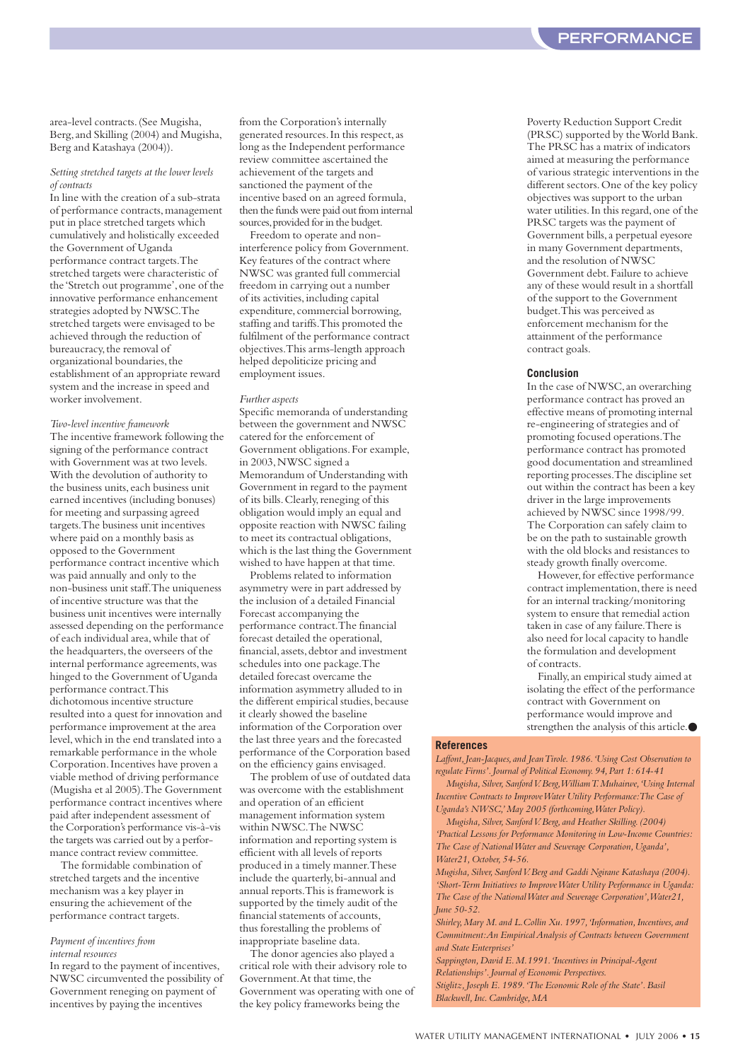area-level contracts.(See Mugisha, Berg,and Skilling (2004) and Mugisha, Berg and Katashaya (2004)).

#### *Setting stretched targets at the lower levels of contracts*

In line with the creation of a sub-strata of performance contracts,management put in place stretched targets which cumulatively and holistically exceeded the Government of Uganda performance contract targets.The stretched targets were characteristic of the 'Stretch out programme',one of the innovative performance enhancement strategies adopted by NWSC.The stretched targets were envisaged to be achieved through the reduction of bureaucracy, the removal of organizational boundaries,the establishment of an appropriate reward system and the increase in speed and worker involvement.

#### *Two-level incentive framework*

The incentive framework following the signing of the performance contract with Government was at two levels. With the devolution of authority to the business units, each business unit earned incentives (including bonuses) for meeting and surpassing agreed targets.The business unit incentives where paid on a monthly basis as opposed to the Government performance contract incentive which was paid annually and only to the non-business unit staff.The uniqueness of incentive structure was that the business unit incentives were internally assessed depending on the performance of each individual area,while that of the headquarters, the overseers of the internal performance agreements,was hinged to the Government of Uganda performance contract.This dichotomous incentive structure resulted into a quest for innovation and performance improvement at the area level,which in the end translated into a remarkable performance in the whole Corporation.Incentives have proven a viable method of driving performance (Mugisha et al 2005).The Government performance contract incentives where paid after independent assessment of the Corporation's performance vis-à-vis the targets was carried out by a performance contract review committee.

The formidable combination of stretched targets and the incentive mechanism was a key player in ensuring the achievement of the performance contract targets.

#### *Payment of incentives from internal resources*

In regard to the payment of incentives, NWSC circumvented the possibility of Government reneging on payment of incentives by paying the incentives

from the Corporation's internally generated resources.In this respect,as long as the Independent performance review committee ascertained the achievement of the targets and sanctioned the payment of the incentive based on an agreed formula, then the funds were paid out from internal sources,provided for in the budget.

Freedom to operate and noninterference policy from Government. Key features of the contract where NWSC was granted full commercial freedom in carrying out a number of its activities,including capital expenditure, commercial borrowing, staffing and tariffs.This promoted the fulfilment of the performance contract objectives.This arms-length approach helped depoliticize pricing and employment issues.

#### *Further aspects*

Specific memoranda of understanding between the government and NWSC catered for the enforcement of Government obligations.For example, in 2003,NWSC signed a Memorandum of Understanding with Government in regard to the payment of its bills. Clearly, reneging of this obligation would imply an equal and opposite reaction with NWSC failing to meet its contractual obligations, which is the last thing the Government wished to have happen at that time.

Problems related to information asymmetry were in part addressed by the inclusion of a detailed Financial Forecast accompanying the performance contract.The financial forecast detailed the operational, financial,assets,debtor and investment schedules into one package.The detailed forecast overcame the information asymmetry alluded to in the different empirical studies, because it clearly showed the baseline information of the Corporation over the last three years and the forecasted performance of the Corporation based on the efficiency gains envisaged.

The problem of use of outdated data was overcome with the establishment and operation of an efficient management information system within NWSC.The NWSC information and reporting system is efficient with all levels of reports produced in a timely manner.These include the quarterly,bi-annual and annual reports.This is framework is supported by the timely audit of the financial statements of accounts, thus forestalling the problems of inappropriate baseline data.

The donor agencies also played a critical role with their advisory role to Government. At that time, the Government was operating with one of the key policy frameworks being the

Poverty Reduction Support Credit (PRSC) supported by the World Bank. The PRSC has a matrix of indicators aimed at measuring the performance of various strategic interventions in the different sectors. One of the key policy objectives was support to the urban water utilities. In this regard, one of the PRSC targets was the payment of Government bills,a perpetual eyesore in many Government departments, and the resolution of NWSC Government debt.Failure to achieve any of these would result in a shortfall of the support to the Government budget.This was perceived as enforcement mechanism for the attainment of the performance contract goals.

#### **Conclusion**

In the case of NWSC, an overarching performance contract has proved an effective means of promoting internal re-engineering of strategies and of promoting focused operations.The performance contract has promoted good documentation and streamlined reporting processes.The discipline set out within the contract has been a key driver in the large improvements achieved by NWSC since 1998/99. The Corporation can safely claim to be on the path to sustainable growth with the old blocks and resistances to steady growth finally overcome.

However, for effective performance contract implementation, there is need for an internal tracking/monitoring system to ensure that remedial action taken in case of any failure.There is also need for local capacity to handle the formulation and development of contracts.

Finally,an empirical study aimed at isolating the effect of the performance contract with Government on performance would improve and strengthen the analysis of this article.●

#### **References**

Laffont, Jean-Jacques, and Jean Tirole. 1986. 'Using Cost Observation to *regulate Firms'.Journal of Political Economy.94,Part 1:614-41*

*Mugisha,Silver,Sanford V.Berg,William T.Muhairwe,'Using Internal Incentive Contracts to Improve Water Utility Performance:The Case of Uganda's NWSC,'May 2005 (forthcoming,Water Policy).*

*Mugisha,Silver,Sanford V.Berg,and Heather Skilling.(2004) 'Practical Lessons for Performance Monitoring in Low-Income Countries: The Case of National Water and Sewerage Corporation,Uganda', Water21,October,54-56.*

*Mugisha,Silver,Sanford V.Berg and Gaddi Ngirane Katashaya (2004). 'Short-Term Initiatives to Improve Water Utility Performance in Uganda: The Case of the National Water and Sewerage Corporation',Water21, June 50-52.*

*Shirley,Mary M.and L.Collin Xu.1997,'Information,Incentives,and Commitment:An Empirical Analysis of Contracts between Government and State Enterprises'*

*Sappington,David E.M.1991.'Incentives in Principal-Agent Relationships'.Journal of Economic Perspectives. Stiglitz,Joseph E.1989.'The Economic Role of the State'.Basil Blackwell,Inc.Cambridge,MA*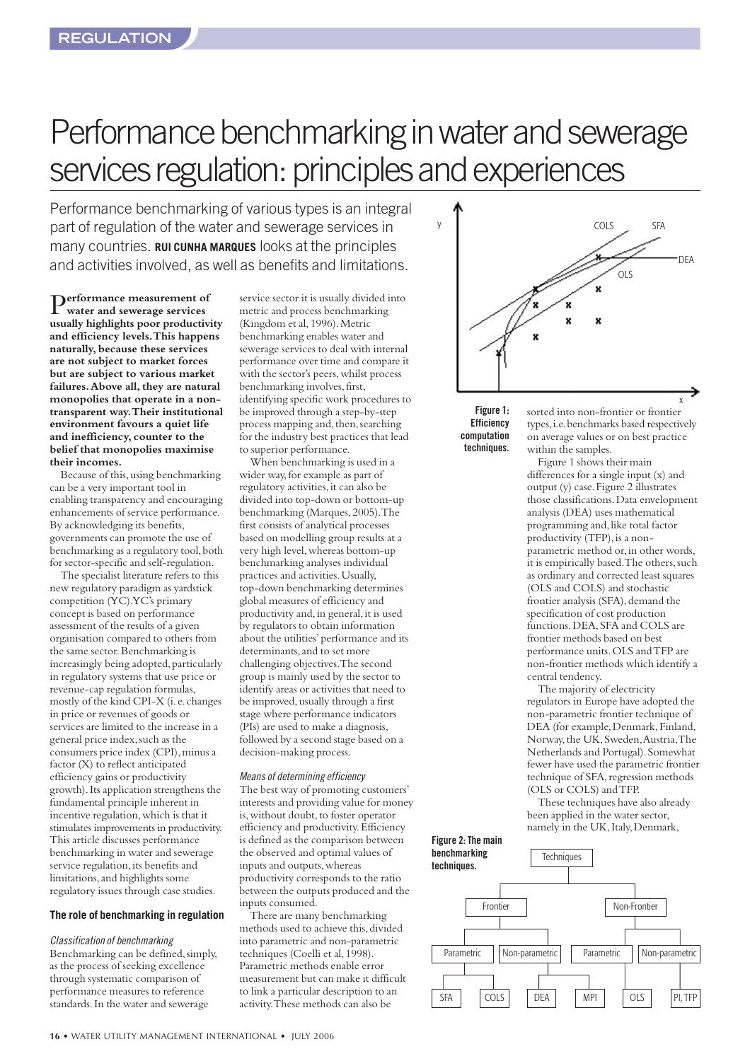# <span id="page-15-0"></span>Performance benchmarking in water and sewerage services regulation: principles and experiences

Performance benchmarking of various types is an integral part of regulation of the water and sewerage services in many countries. **RUI CUNHA MARQUES** looks at the principles and activities involved, as well as benefits and limitations.

P**erformance measurement of water and sewerage services usually highlights poor productivity and efficiency levels.This happens naturally,because these services are not subject to market forces but are subject to various market failures.Above all, they are natural monopolies that operate in a nontransparent way.Their institutional environment favours a quiet life and inefficiency,counter to the belief that monopolies maximise their incomes.**

Because of this,using benchmarking can be a very important tool in enabling transparency and encouraging enhancements of service performance. By acknowledging its benefits, governments can promote the use of benchmarking as a regulatory tool, both for sector-specific and self-regulation.

The specialist literature refers to this new regulatory paradigm as yardstick competition (YC).YC's primary concept is based on performance assessment of the results of a given organisation compared to others from the same sector.Benchmarking is increasingly being adopted, particularly in regulatory systems that use price or revenue-cap regulation formulas, mostly of the kind CPI-X (i.e.changes in price or revenues of goods or services are limited to the increase in a general price index, such as the consumers price index (CPI), minus a factor (X) to reflect anticipated efficiency gains or productivity growth).Its application strengthens the fundamental principle inherent in incentive regulation,which is that it stimulates improvements in productivity. This article discusses performance benchmarking in water and sewerage service regulation, its benefits and limitations,and highlights some regulatory issues through case studies.

#### **The role of benchmarking in regulation**

*Classification of benchmarking* Benchmarking can be defined, simply, as the process of seeking excellence through systematic comparison of performance measures to reference standards.In the water and sewerage

service sector it is usually divided into metric and process benchmarking (Kingdom et al,1996).Metric benchmarking enables water and sewerage services to deal with internal performance over time and compare it with the sector's peers,whilst process benchmarking involves, first, identifying specific work procedures to be improved through a step-by-step process mapping and, then, searching for the industry best practices that lead to superior performance.

When benchmarking is used in a wider way, for example as part of regulatory activities, it can also be divided into top-down or bottom-up benchmarking (Marques,2005).The first consists of analytical processes based on modelling group results at a very high level,whereas bottom-up benchmarking analyses individual practices and activities.Usually, top-down benchmarking determines global measures of efficiency and productivity and, in general, it is used by regulators to obtain information about the utilities'performance and its determinants, and to set more challenging objectives.The second group is mainly used by the sector to identify areas or activities that need to be improved, usually through a first stage where performance indicators (PIs) are used to make a diagnosis, followed by a second stage based on a decision-making process.

#### *Means of determining efficiency*

The best way of promoting customers' interests and providing value for money is, without doubt, to foster operator efficiency and productivity.Efficiency is defined as the comparison between the observed and optimal values of inputs and outputs, whereas productivity corresponds to the ratio between the outputs produced and the inputs consumed.

There are many benchmarking methods used to achieve this,divided into parametric and non-parametric techniques (Coelli et al,1998). Parametric methods enable error measurement but can make it difficult to link a particular description to an activity.These methods can also be



**Figure 1: Efficiency computation techniques.**

sorted into non-frontier or frontier types,i.e.benchmarks based respectively on average values or on best practice within the samples.

Figure 1 shows their main differences for a single input (x) and output (y) case.Figure 2 illustrates those classifications.Data envelopment analysis (DEA) uses mathematical programming and, like total factor productivity (TFP), is a nonparametric method or, in other words, it is empirically based. The others, such as ordinary and corrected least squares (OLS and COLS) and stochastic frontier analysis (SFA), demand the specification of cost production functions. DEA, SFA and COLS are frontier methods based on best performance units.OLS and TFP are non-frontier methods which identify a central tendency.

The majority of electricity regulators in Europe have adopted the non-parametric frontier technique of DEA (for example, Denmark, Finland, Norway,the UK,Sweden,Austria,The Netherlands and Portugal).Somewhat fewer have used the parametric frontier technique of SFA, regression methods (OLS or COLS) and TFP.

These techniques have also already been applied in the water sector, namely in the UK, Italy, Denmark,

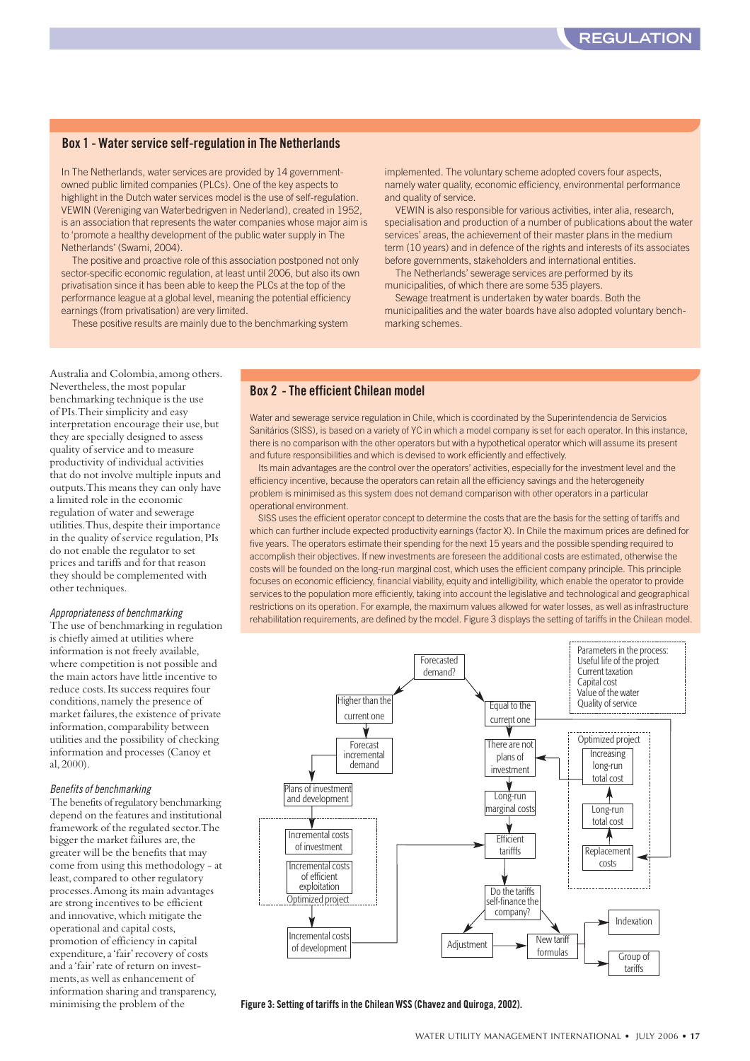#### **Box 1 - Water service self-regulation in The Netherlands**

In The Netherlands, water services are provided by 14 governmentowned public limited companies (PLCs). One of the key aspects to highlight in the Dutch water services model is the use of self-regulation. VEWIN (Vereniging van Waterbedrigven in Nederland), created in 1952, is an association that represents the water companies whose major aim is to 'promote a healthy development of the public water supply in The Netherlands' (Swami, 2004).

The positive and proactive role of this association postponed not only sector-specific economic regulation, at least until 2006, but also its own privatisation since it has been able to keep the PLCs at the top of the performance league at a global level, meaning the potential efficiency earnings (from privatisation) are very limited.

These positive results are mainly due to the benchmarking system

implemented. The voluntary scheme adopted covers four aspects, namely water quality, economic efficiency, environmental performance and quality of service.

VEWIN is also responsible for various activities, inter alia, research, specialisation and production of a number of publications about the water services' areas, the achievement of their master plans in the medium term (10 years) and in defence of the rights and interests of its associates before governments, stakeholders and international entities.

The Netherlands' sewerage services are performed by its municipalities, of which there are some 535 players.

Sewage treatment is undertaken by water boards. Both the municipalities and the water boards have also adopted voluntary benchmarking schemes.

Australia and Colombia,among others. Nevertheless, the most popular benchmarking technique is the use of PIs.Their simplicity and easy interpretation encourage their use,but they are specially designed to assess quality of service and to measure productivity of individual activities that do not involve multiple inputs and outputs.This means they can only have a limited role in the economic regulation of water and sewerage utilities. Thus, despite their importance in the quality of service regulation,PIs do not enable the regulator to set prices and tariffs and for that reason they should be complemented with other techniques.

#### *Appropriateness of benchmarking*

The use of benchmarking in regulation is chiefly aimed at utilities where information is not freely available, where competition is not possible and the main actors have little incentive to reduce costs.Its success requires four conditions,namely the presence of market failures, the existence of private information,comparability between utilities and the possibility of checking information and processes (Canoy et al,2000).

#### *Benefits of benchmarking*

The benefits of regulatory benchmarking depend on the features and institutional framework of the regulated sector.The bigger the market failures are, the greater will be the benefits that may come from using this methodology - at least, compared to other regulatory processes.Among its main advantages are strong incentives to be efficient and innovative, which mitigate the operational and capital costs, promotion of efficiency in capital expenditure, a 'fair' recovery of costs and a 'fair' rate of return on investments,as well as enhancement of information sharing and transparency, minimising the problem of the

#### **Box 2 - The efficient Chilean model**

Water and sewerage service regulation in Chile, which is coordinated by the Superintendencia de Servicios Sanitários (SISS), is based on a variety of YC in which a model company is set for each operator. In this instance, there is no comparison with the other operators but with a hypothetical operator which will assume its present and future responsibilities and which is devised to work efficiently and effectively.

Its main advantages are the control over the operators' activities, especially for the investment level and the efficiency incentive, because the operators can retain all the efficiency savings and the heterogeneity problem is minimised as this system does not demand comparison with other operators in a particular operational environment.

SISS uses the efficient operator concept to determine the costs that are the basis for the setting of tariffs and which can further include expected productivity earnings (factor X). In Chile the maximum prices are defined for five years. The operators estimate their spending for the next 15 years and the possible spending required to accomplish their objectives. If new investments are foreseen the additional costs are estimated, otherwise the costs will be founded on the long-run marginal cost, which uses the efficient company principle. This principle focuses on economic efficiency, financial viability, equity and intelligibility, which enable the operator to provide services to the population more efficiently, taking into account the legislative and technological and geographical restrictions on its operation. For example, the maximum values allowed for water losses, as well as infrastructure rehabilitation requirements, are defined by the model. Figure 3 displays the setting of tariffs in the Chilean model.



#### **Figure 3: Setting of tariffs in the Chilean WSS (Chavez and Quiroga, 2002).**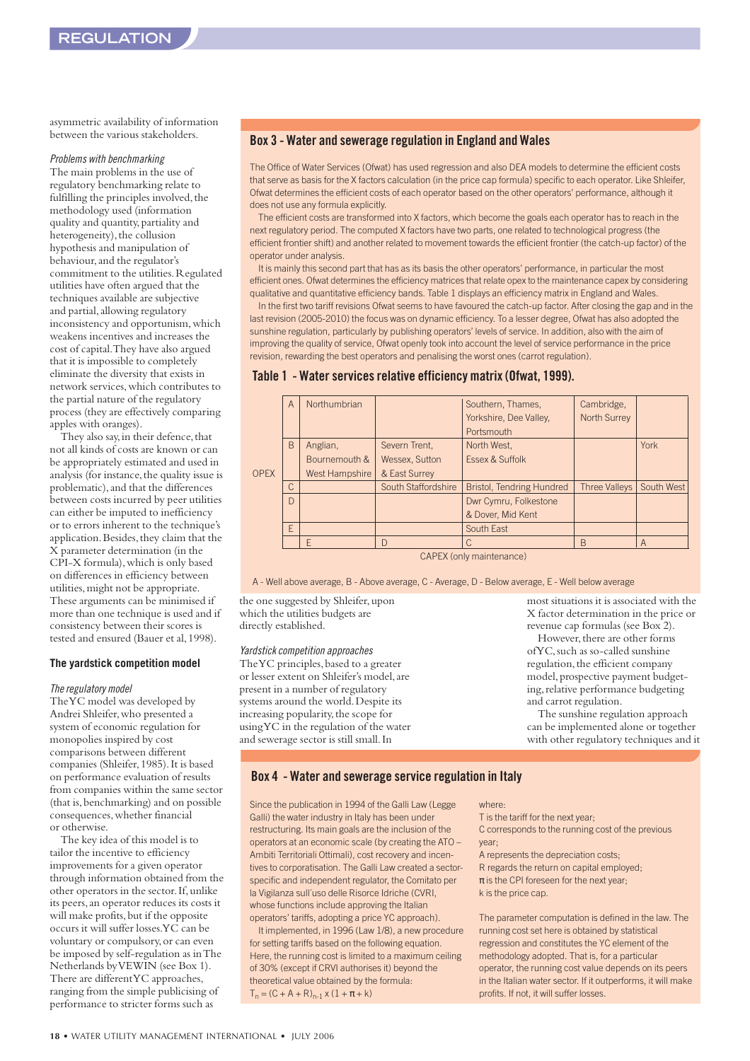asymmetric availability of information between the various stakeholders.

#### *Problems with benchmarking*

The main problems in the use of regulatory benchmarking relate to fulfilling the principles involved, the methodology used (information quality and quantity, partiality and heterogeneity), the collusion hypothesis and manipulation of behaviour,and the regulator's commitment to the utilities.Regulated utilities have often argued that the techniques available are subjective and partial,allowing regulatory inconsistency and opportunism,which weakens incentives and increases the cost of capital.They have also argued that it is impossible to completely eliminate the diversity that exists in network services,which contributes to the partial nature of the regulatory process (they are effectively comparing apples with oranges).

They also say, in their defence, that not all kinds of costs are known or can be appropriately estimated and used in analysis (for instance,the quality issue is problematic),and that the differences between costs incurred by peer utilities can either be imputed to inefficiency or to errors inherent to the technique's application. Besides, they claim that the X parameter determination (in the CPI-X formula),which is only based on differences in efficiency between utilities,might not be appropriate. These arguments can be minimised if more than one technique is used and if consistency between their scores is tested and ensured (Bauer et al,1998).

#### **The yardstick competition model**

#### *The regulatory model*

The YC model was developed by Andrei Shleifer,who presented a system of economic regulation for monopolies inspired by cost comparisons between different companies (Shleifer,1985).It is based on performance evaluation of results from companies within the same sector (that is,benchmarking) and on possible consequences,whether financial or otherwise.

The key idea of this model is to tailor the incentive to efficiency improvements for a given operator through information obtained from the other operators in the sector.If,unlike its peers,an operator reduces its costs it will make profits, but if the opposite occurs it will suffer losses.YC can be voluntary or compulsory, or can even be imposed by self-regulation as in The Netherlands by VEWIN (see Box 1). There are different YC approaches, ranging from the simple publicising of performance to stricter forms such as

#### **Box 3 - Water and sewerage regulation in England and Wales**

The Office of Water Services (Ofwat) has used regression and also DEA models to determine the efficient costs that serve as basis for the X factors calculation (in the price cap formula) specific to each operator. Like Shleifer, Ofwat determines the efficient costs of each operator based on the other operators' performance, although it does not use any formula explicitly.

The efficient costs are transformed into X factors, which become the goals each operator has to reach in the next regulatory period. The computed X factors have two parts, one related to technological progress (the efficient frontier shift) and another related to movement towards the efficient frontier (the catch-up factor) of the operator under analysis.

It is mainly this second part that has as its basis the other operators' performance, in particular the most efficient ones. Ofwat determines the efficiency matrices that relate opex to the maintenance capex by considering qualitative and quantitative efficiency bands. Table 1 displays an efficiency matrix in England and Wales.

In the first two tariff revisions Ofwat seems to have favoured the catch-up factor. After closing the gap and in the last revision (2005-2010) the focus was on dynamic efficiency. To a lesser degree, Ofwat has also adopted the sunshine regulation, particularly by publishing operators' levels of service. In addition, also with the aim of improving the quality of service, Ofwat openly took into account the level of service performance in the price revision, rewarding the best operators and penalising the worst ones (carrot regulation).

#### **Table 1 - Water services relative efficiency matrix (Ofwat, 1999).**

|             | A             | Northumbrian   |                     | Southern, Thames,                | Cambridge,           |                |
|-------------|---------------|----------------|---------------------|----------------------------------|----------------------|----------------|
|             |               |                |                     | Yorkshire, Dee Valley,           | <b>North Surrey</b>  |                |
|             |               |                |                     | Portsmouth                       |                      |                |
|             | <sub>B</sub>  | Anglian,       | Severn Trent,       | North West,                      |                      | York           |
|             |               | Bournemouth &  | Wessex, Sutton      | Essex & Suffolk                  |                      |                |
| <b>OPEX</b> |               | West Hampshire | & East Surrey       |                                  |                      |                |
|             | $\mathcal{C}$ |                | South Staffordshire | <b>Bristol, Tendring Hundred</b> | <b>Three Valleys</b> | South West     |
|             | D             |                |                     | Dwr Cymru, Folkestone            |                      |                |
|             |               |                |                     | & Dover, Mid Kent                |                      |                |
|             | F             |                |                     | South East                       |                      |                |
|             |               | F              | $\Gamma$            |                                  | B                    | $\overline{A}$ |

CAPEX (only maintenance)

A - Well above average, B - Above average, C - Average, D - Below average, E - Well below average

the one suggested by Shleifer,upon which the utilities budgets are directly established.

#### *Yardstick competition approaches*

The YC principles,based to a greater or lesser extent on Shleifer's model,are present in a number of regulatory systems around the world.Despite its increasing popularity, the scope for using YC in the regulation of the water and sewerage sector is still small.In

most situations it is associated with the X factor determination in the price or revenue cap formulas (see Box 2).

However, there are other forms of YC,such as so-called sunshine regulation, the efficient company model, prospective payment budgeting, relative performance budgeting and carrot regulation.

The sunshine regulation approach can be implemented alone or together with other regulatory techniques and it

#### **Box 4 - Water and sewerage service regulation in Italy**

Since the publication in 1994 of the Galli Law (Legge Galli) the water industry in Italy has been under restructuring. Its main goals are the inclusion of the operators at an economic scale (by creating the ATO – Ambiti Territoriali Ottimali), cost recovery and incentives to corporatisation. The Galli Law created a sectorspecific and independent regulator, the Comitato per la Vigilanza sull´uso delle Risorce Idriche (CVRI, whose functions include approving the Italian operators' tariffs, adopting a price YC approach).

It implemented, in 1996 (Law 1/8), a new procedure for setting tariffs based on the following equation. Here, the running cost is limited to a maximum ceiling of 30% (except if CRVI authorises it) beyond the theoretical value obtained by the formula:  $T_n = (C + A + R)_{n-1} \times (1 + \pi + k)$ 

where:

T is the tariff for the next year; C corresponds to the running cost of the previous year; A represents the depreciation costs; R regards the return on capital employed;  $\pi$  is the CPI foreseen for the next year;

k is the price cap.

The parameter computation is defined in the law. The running cost set here is obtained by statistical regression and constitutes the YC element of the methodology adopted. That is, for a particular operator, the running cost value depends on its peers in the Italian water sector. If it outperforms, it will make profits. If not, it will suffer losses.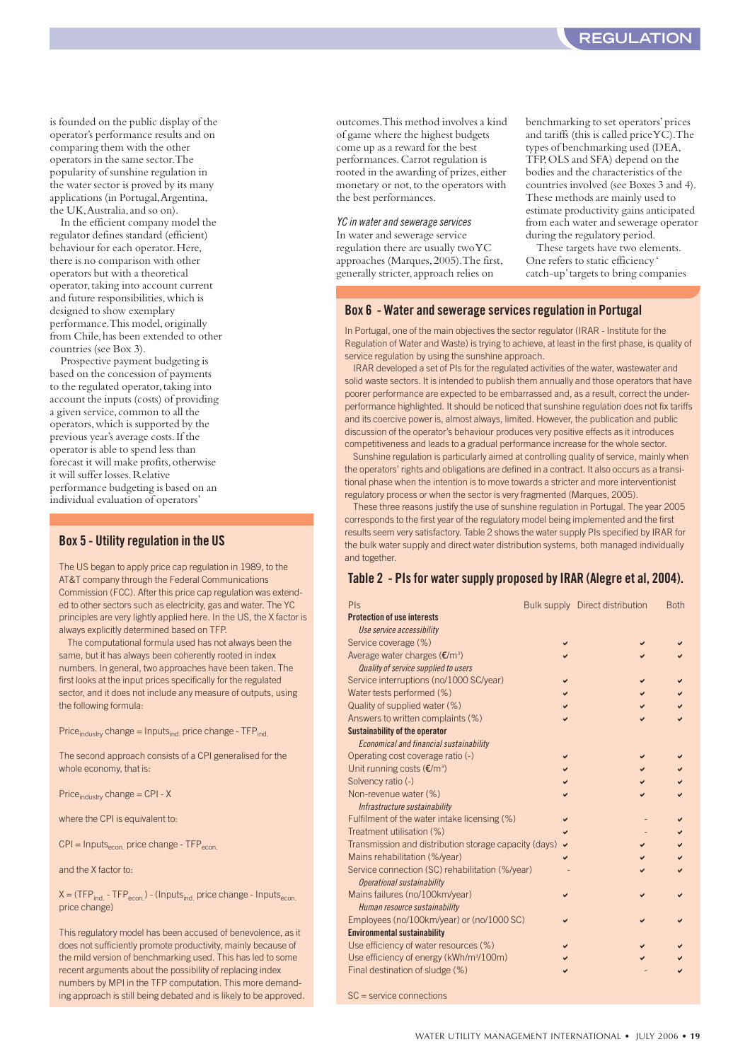is founded on the public display of the operator's performance results and on comparing them with the other operators in the same sector.The popularity of sunshine regulation in the water sector is proved by its many applications (in Portugal,Argentina, the UK,Australia,and so on).

In the efficient company model the regulator defines standard (efficient) behaviour for each operator.Here, there is no comparison with other operators but with a theoretical operator,taking into account current and future responsibilities,which is designed to show exemplary performance.This model,originally from Chile, has been extended to other countries (see Box 3).

Prospective payment budgeting is based on the concession of payments to the regulated operator, taking into account the inputs (costs) of providing a given service, common to all the operators,which is supported by the previous year's average costs.If the operator is able to spend less than forecast it will make profits, otherwise it will suffer losses.Relative performance budgeting is based on an individual evaluation of operators'

#### **Box 5 - Utility regulation in the US**

The US began to apply price cap regulation in 1989, to the AT&T company through the Federal Communications Commission (FCC). After this price cap regulation was extended to other sectors such as electricity, gas and water. The YC principles are very lightly applied here. In the US, the X factor is always explicitly determined based on TFP.

The computational formula used has not always been the same, but it has always been coherently rooted in index numbers. In general, two approaches have been taken. The first looks at the input prices specifically for the regulated sector, and it does not include any measure of outputs, using the following formula:

 $Price_{industry}$  change = Inputs<sub>ind.</sub> price change -  $TFP_{ind.}$ 

The second approach consists of a CPI generalised for the whole economy, that is:

Price $_{industrV}$  change = CPI - X

where the CPI is equivalent to:

 $CPI =$  Inputs<sub>econ.</sub> price change -  $TFP_{econ}$ 

and the X factor to:

 $X = (TFP<sub>ind.</sub> - TFP<sub>econ.</sub>) - (InputStreamC<sub>ind.</sub> price change - InputS<sub>econ.</sub>)$ price change)

This regulatory model has been accused of benevolence, as it does not sufficiently promote productivity, mainly because of the mild version of benchmarking used. This has led to some recent arguments about the possibility of replacing index numbers by MPI in the TFP computation. This more demanding approach is still being debated and is likely to be approved. outcomes.This method involves a kind of game where the highest budgets come up as a reward for the best performances.Carrot regulation is rooted in the awarding of prizes, either monetary or not, to the operators with the best performances.

*YC in water and sewerage services* In water and sewerage service regulation there are usually two YC approaches (Marques,2005).The first, generally stricter,approach relies on

benchmarking to set operators'prices and tariffs (this is called price  $Y\dot{C}$ ). The types of benchmarking used (DEA, TFP,OLS and SFA) depend on the bodies and the characteristics of the countries involved (see Boxes 3 and 4). These methods are mainly used to estimate productivity gains anticipated from each water and sewerage operator during the regulatory period.

These targets have two elements. One refers to static efficiency ' catch-up'targets to bring companies

#### **Box 6 - Water and sewerage services regulation in Portugal**

In Portugal, one of the main objectives the sector regulator (IRAR - Institute for the Regulation of Water and Waste) is trying to achieve, at least in the first phase, is quality of service regulation by using the sunshine approach.

IRAR developed a set of PIs for the regulated activities of the water, wastewater and solid waste sectors. It is intended to publish them annually and those operators that have poorer performance are expected to be embarrassed and, as a result, correct the underperformance highlighted. It should be noticed that sunshine regulation does not fix tariffs and its coercive power is, almost always, limited. However, the publication and public discussion of the operator's behaviour produces very positive effects as it introduces competitiveness and leads to a gradual performance increase for the whole sector.

Sunshine regulation is particularly aimed at controlling quality of service, mainly when the operators' rights and obligations are defined in a contract. It also occurs as a transitional phase when the intention is to move towards a stricter and more interventionist regulatory process or when the sector is very fragmented (Marques, 2005).

These three reasons justify the use of sunshine regulation in Portugal. The year 2005 corresponds to the first year of the regulatory model being implemented and the first results seem very satisfactory. Table 2 shows the water supply PIs specified by IRAR for the bulk water supply and direct water distribution systems, both managed individually and together.

#### **Table 2 - PIs for water supply proposed by IRAR (Alegre et al, 2004).**

| Pls                                                   |              | Bulk supply Direct distribution | <b>Both</b> |
|-------------------------------------------------------|--------------|---------------------------------|-------------|
| <b>Protection of use interests</b>                    |              |                                 |             |
| Use service accessibility                             |              |                                 |             |
| Service coverage (%)                                  |              |                                 |             |
| Average water charges $(\mathbf{E}/m^3)$              |              |                                 |             |
| Quality of service supplied to users                  |              |                                 |             |
| Service interruptions (no/1000 SC/year)               |              | ✓                               |             |
| Water tests performed (%)                             |              |                                 |             |
| Quality of supplied water (%)                         |              |                                 |             |
| Answers to written complaints (%)                     |              |                                 |             |
| <b>Sustainability of the operator</b>                 |              |                                 |             |
| Economical and financial sustainability               |              |                                 |             |
| Operating cost coverage ratio (-)                     |              |                                 |             |
| Unit running costs $(\mathbf{E}/m^3)$                 |              |                                 |             |
| Solvency ratio (-)                                    |              |                                 |             |
| Non-revenue water (%)                                 |              |                                 |             |
| Infrastructure sustainability                         |              |                                 |             |
| Fulfilment of the water intake licensing (%)          | ✓            |                                 |             |
| Treatment utilisation (%)                             |              |                                 |             |
| Transmission and distribution storage capacity (days) | $\checkmark$ |                                 |             |
| Mains rehabilitation (%/year)                         |              |                                 |             |
| Service connection (SC) rehabilitation (%/year)       |              |                                 |             |
| Operational sustainability                            |              |                                 |             |
| Mains failures (no/100km/year)                        |              |                                 |             |
| Human resource sustainability                         |              |                                 |             |
| Employees (no/100km/year) or (no/1000 SC)             |              |                                 |             |
| <b>Environmental sustainability</b>                   |              |                                 |             |
| Use efficiency of water resources (%)                 |              |                                 |             |
| Use efficiency of energy (kWh/m <sup>3</sup> /100m)   |              |                                 |             |
| Final destination of sludge (%)                       |              |                                 |             |
| SC — service connections                              |              |                                 |             |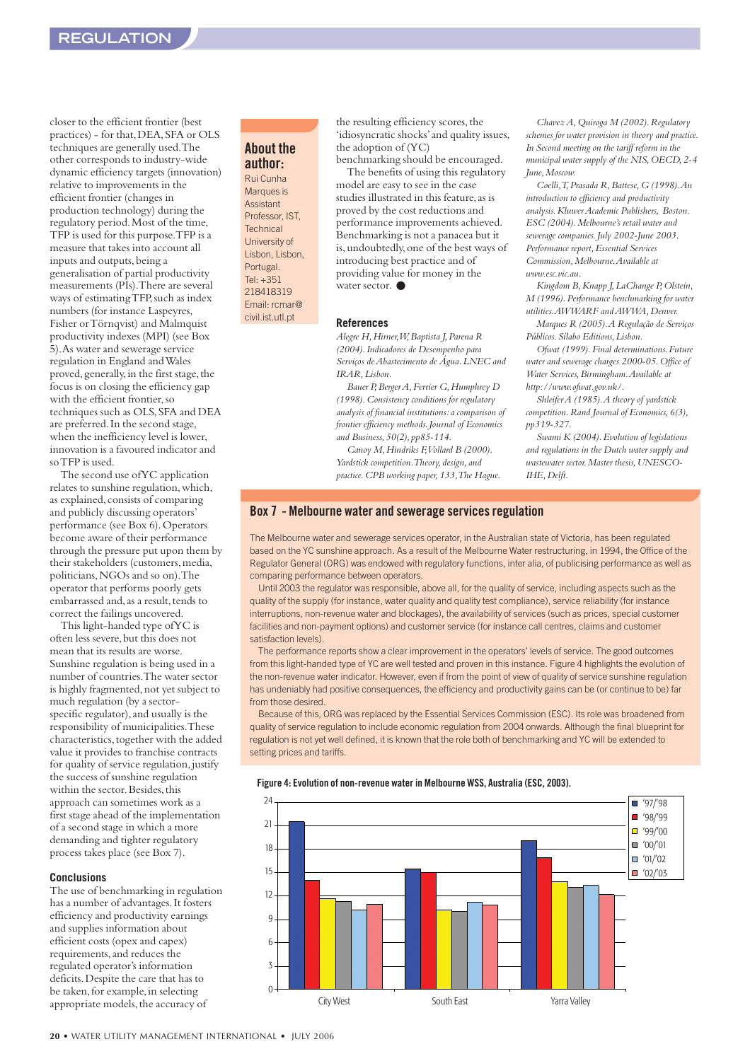closer to the efficient frontier (best practices) - for that, DEA, SFA or OLS techniques are generally used.The other corresponds to industry-wide dynamic efficiency targets (innovation) relative to improvements in the efficient frontier (changes in production technology) during the regulatory period.Most of the time, TFP is used for this purpose.TFP is a measure that takes into account all inputs and outputs,being a generalisation of partial productivity measurements (PIs).There are several ways of estimating TFP, such as index numbers (for instance Laspeyres, Fisher or Törnqvist) and Malmquist productivity indexes (MPI) (see Box 5).As water and sewerage service regulation in England and Wales proved, generally, in the first stage, the focus is on closing the efficiency gap with the efficient frontier,so techniques such as OLS, SFA and DEA are preferred.In the second stage, when the inefficiency level is lower, innovation is a favoured indicator and so TFP is used.

The second use of YC application relates to sunshine regulation,which, as explained,consists of comparing and publicly discussing operators' performance (see Box 6).Operators become aware of their performance through the pressure put upon them by their stakeholders (customers, media, politicians,NGOs and so on).The operator that performs poorly gets embarrassed and, as a result, tends to correct the failings uncovered.

This light-handed type of YC is often less severe, but this does not mean that its results are worse. Sunshine regulation is being used in a number of countries.The water sector is highly fragmented,not yet subject to much regulation (by a sectorspecific regulator), and usually is the responsibility of municipalities.These characteristics, together with the added value it provides to franchise contracts for quality of service regulation, justify the success of sunshine regulation within the sector. Besides, this approach can sometimes work as a first stage ahead of the implementation of a second stage in which a more demanding and tighter regulatory process takes place (see Box 7).

#### **Conclusions**

The use of benchmarking in regulation has a number of advantages.It fosters efficiency and productivity earnings and supplies information about efficient costs (opex and capex) requirements,and reduces the regulated operator's information deficits.Despite the care that has to be taken, for example, in selecting appropriate models, the accuracy of

#### **About the author:**

Rui Cunha Marques is Assistant Professor, IST, **Technical** University of Lisbon, Lisbon, Portugal. Tel: +351 218418319 Email: rcmar@ civil.ist.utl.pt

the resulting efficiency scores, the 'idiosyncratic shocks'and quality issues, the adoption of (YC)

benchmarking should be encouraged. The benefits of using this regulatory model are easy to see in the case studies illustrated in this feature, as is proved by the cost reductions and performance improvements achieved. Benchmarking is not a panacea but it is,undoubtedly,one of the best ways of introducing best practice and of providing value for money in the water sector. ●

#### **References**

*Alegre H,Hirner,W,Baptista J,Parena R (2004).Indicadores de Desempenho para Serviços de Abastecimento de Água.LNEC and IRAR,Lisbon.*

*Bauer P,Berger A,Ferrier G,Humphrey D (1998).Consistency conditions for regulatory analysis of financial institutions:a comparison of frontier efficiency methods.Journal of Economics and Business,50(2),pp85-114.*

*Canoy M,Hindriks F,Vollard B (2000). Yardstick competition.Theory,design,and practice.CPB working paper,133,The Hague.*

*Chavez A,Quiroga M (2002).Regulatory schemes for water provision in theory and practice. In Second meeting on the tariff reform in the municipal water supply of the NIS,OECD,2-4 June,Moscow.*

*Coelli,T,Prasada R,Battese,G (1998).An introduction to efficiency and productivity analysis.Kluwer Academic Publishers, Boston. ESC (2004).Melbourne's retail water and sewerage companies.July 2002-June 2003. Performance report,Essential Services Commission,Melbourne.Available at www.esc.vic.au.*

*Kingdom B,Knapp J,LaChange P,Olstein, M (1996).Performance benchmarking for water utilities.AWWARF and AWWA,Denver.*

*Marques R (2005).A Regulação de Serviços Públicos.Sílabo Editions,Lisbon.*

*Ofwat (1999).Final determinations.Future water and sewerage charges 2000-05.Office of Water Services,Birmingham.Available at http://www.ofwat.gov.uk/.*

*Shleifer A (1985).A theory of yardstick competition.Rand Journal of Economics,6(3), pp319-327.*

*Swami K (2004).Evolution of legislations and regulations in the Dutch water supply and wastewater sector.Master thesis,UNESCO-IHE,Delft.*

#### **Box 7 - Melbourne water and sewerage services regulation**

The Melbourne water and sewerage services operator, in the Australian state of Victoria, has been regulated based on the YC sunshine approach. As a result of the Melbourne Water restructuring, in 1994, the Office of the Regulator General (ORG) was endowed with regulatory functions, inter alia, of publicising performance as well as comparing performance between operators.

Until 2003 the regulator was responsible, above all, for the quality of service, including aspects such as the quality of the supply (for instance, water quality and quality test compliance), service reliability (for instance interruptions, non-revenue water and blockages), the availability of services (such as prices, special customer facilities and non-payment options) and customer service (for instance call centres, claims and customer satisfaction levels).

The performance reports show a clear improvement in the operators' levels of service. The good outcomes from this light-handed type of YC are well tested and proven in this instance. Figure 4 highlights the evolution of the non-revenue water indicator. However, even if from the point of view of quality of service sunshine regulation has undeniably had positive consequences, the efficiency and productivity gains can be (or continue to be) far from those desired.

Because of this, ORG was replaced by the Essential Services Commission (ESC). Its role was broadened from quality of service regulation to include economic regulation from 2004 onwards. Although the final blueprint for regulation is not yet well defined, it is known that the role both of benchmarking and YC will be extended to setting prices and tariffs.



#### **Figure 4: Evolution of non-revenue water in Melbourne WSS, Australia (ESC, 2003).**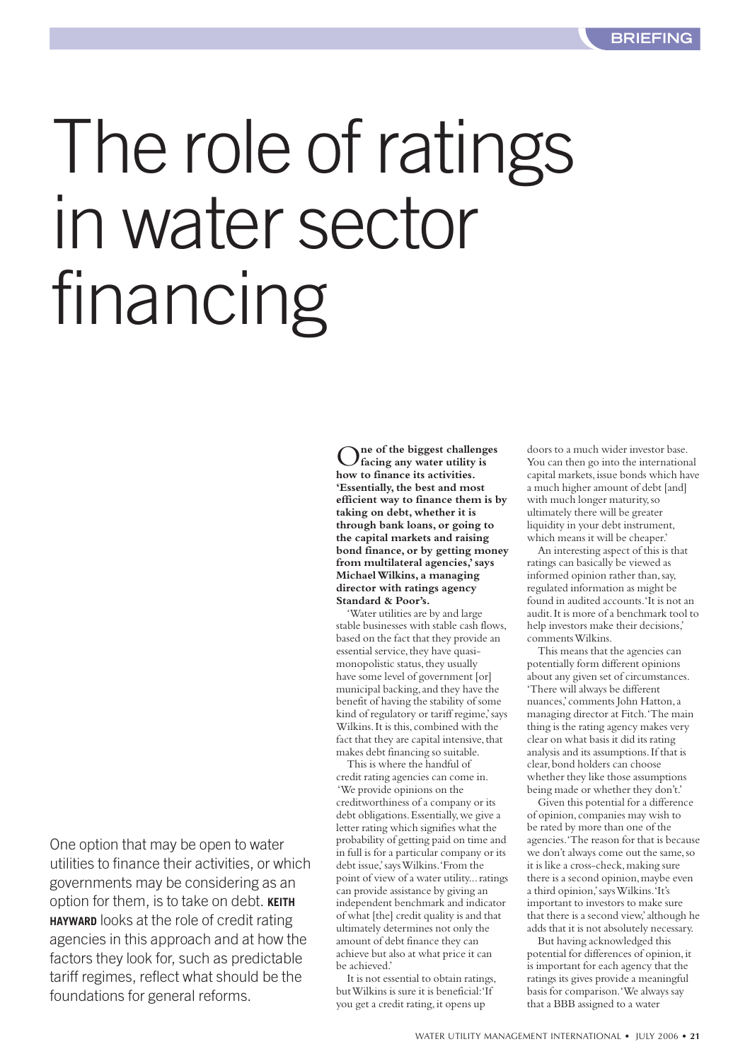# <span id="page-20-0"></span>The role of ratings in water sector financing

O**ne of the biggest challenges facing any water utility is how to finance its activities. 'Essentially,the best and most efficient way to finance them is by taking on debt, whether it is through bank loans, or going to the capital markets and raising bond finance,or by getting money from multilateral agencies,'says Michael Wilkins, a managing director with ratings agency Standard & Poor's.**

'Water utilities are by and large stable businesses with stable cash flows, based on the fact that they provide an essential service, they have quasimonopolistic status, they usually have some level of government [or] municipal backing, and they have the benefit of having the stability of some kind of regulatory or tariff regime,'says Wilkins. It is this, combined with the fact that they are capital intensive, that makes debt financing so suitable.

This is where the handful of credit rating agencies can come in. 'We provide opinions on the creditworthiness of a company or its debt obligations.Essentially,we give a letter rating which signifies what the probability of getting paid on time and in full is for a particular company or its debt issue,'says Wilkins.'From the point of view of a water utility...ratings can provide assistance by giving an independent benchmark and indicator of what [the] credit quality is and that ultimately determines not only the amount of debt finance they can achieve but also at what price it can be achieved.'

It is not essential to obtain ratings, but Wilkins is sure it is beneficial:'If you get a credit rating, it opens up

doors to a much wider investor base. You can then go into the international capital markets, issue bonds which have a much higher amount of debt [and] with much longer maturity,so ultimately there will be greater liquidity in your debt instrument, which means it will be cheaper.'

An interesting aspect of this is that ratings can basically be viewed as informed opinion rather than,say, regulated information as might be found in audited accounts.'It is not an audit.It is more of a benchmark tool to help investors make their decisions,' comments Wilkins.

This means that the agencies can potentially form different opinions about any given set of circumstances. 'There will always be different nuances,'comments John Hatton,a managing director at Fitch.'The main thing is the rating agency makes very clear on what basis it did its rating analysis and its assumptions.If that is clear,bond holders can choose whether they like those assumptions being made or whether they don't.'

Given this potential for a difference of opinion,companies may wish to be rated by more than one of the agencies.'The reason for that is because we don't always come out the same,so it is like a cross-check,making sure there is a second opinion, maybe even a third opinion,'says Wilkins.'It's important to investors to make sure that there is a second view,'although he adds that it is not absolutely necessary.

But having acknowledged this potential for differences of opinion, it is important for each agency that the ratings its gives provide a meaningful basis for comparison.'We always say that a BBB assigned to a water

One option that may be open to water utilities to finance their activities, or which governments may be considering as an option for them, is to take on debt. **KEITH HAYWARD** looks at the role of credit rating agencies in this approach and at how the factors they look for, such as predictable tariff regimes, reflect what should be the foundations for general reforms.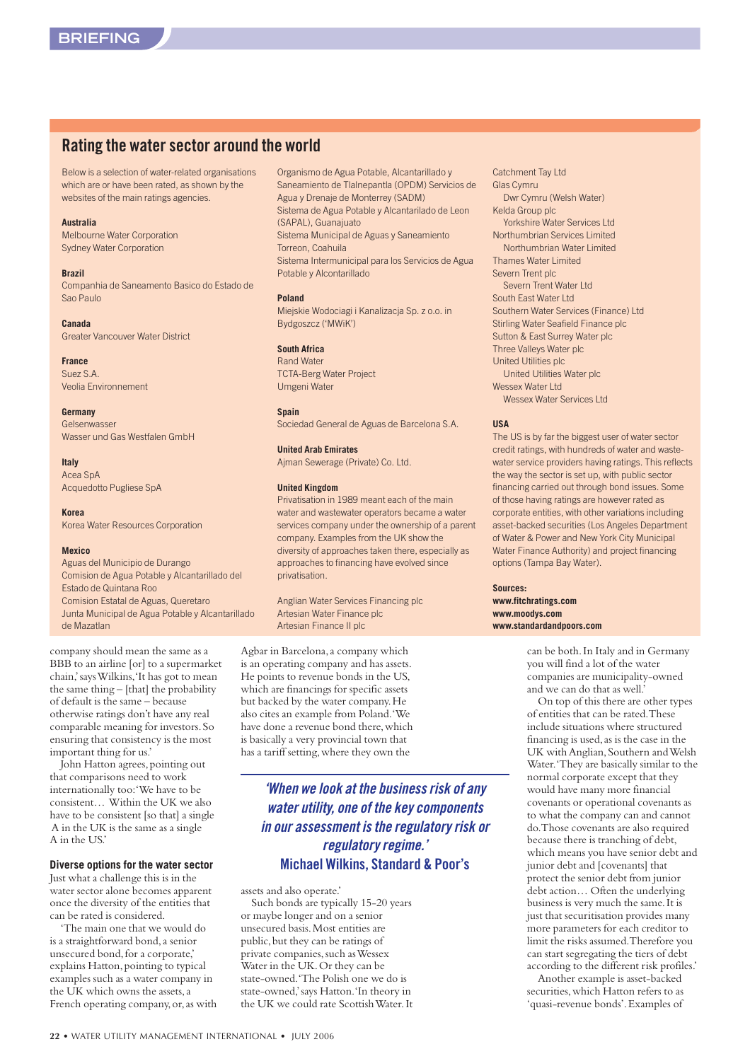#### **Rating the water sector around the world**

Below is a selection of water-related organisations which are or have been rated, as shown by the websites of the main ratings agencies.

#### **Australia**

Melbourne Water Corporation Sydney Water Corporation

#### **Brazil**

Companhia de Saneamento Basico do Estado de Sao Paulo

**Canada** Greater Vancouver Water District

**France** Suez S.A. Veolia Environnement

#### **Germany**

Gelsenwasser Wasser und Gas Westfalen GmbH

**Italy** Acea SpA

Acquedotto Pugliese SpA

**Korea** Korea Water Resources Corporation

#### **Mexico**

Aguas del Municipio de Durango Comision de Agua Potable y Alcantarillado del Estado de Quintana Roo Comision Estatal de Aguas, Queretaro Junta Municipal de Agua Potable y Alcantarillado de Mazatlan

company should mean the same as a BBB to an airline [or] to a supermarket chain,'says Wilkins,'It has got to mean the same thing – [that] the probability of default is the same – because otherwise ratings don't have any real comparable meaning for investors.So ensuring that consistency is the most important thing for us.'

John Hatton agrees, pointing out that comparisons need to work internationally too:'We have to be consistent… Within the UK we also have to be consistent [so that] a single A in the UK is the same as a single A in the US.'

#### **Diverse options for the water sector**

Just what a challenge this is in the water sector alone becomes apparent once the diversity of the entities that can be rated is considered.

'The main one that we would do is a straightforward bond, a senior unsecured bond,for a corporate,' explains Hatton,pointing to typical examples such as a water company in the UK which owns the assets,a French operating company, or, as with Organismo de Agua Potable, Alcantarillado y Saneamiento de Tlalnepantla (OPDM) Servicios de Agua y Drenaje de Monterrey (SADM) Sistema de Agua Potable y Alcantarilado de Leon (SAPAL), Guanajuato Sistema Municipal de Aguas y Saneamiento Torreon, Coahuila Sistema Intermunicipal para los Servicios de Agua Potable y Alcontarillado

#### **Poland**

Miejskie Wodociagi i Kanalizacja Sp. z o.o. in Bydgoszcz ('MWiK')

#### **South Africa**

Rand Water TCTA-Berg Water Project Umgeni Water

**Spain**

Sociedad General de Aguas de Barcelona S.A.

#### **United Arab Emirates**

Ajman Sewerage (Private) Co. Ltd.

#### **United Kingdom**

Privatisation in 1989 meant each of the main water and wastewater operators became a water services company under the ownership of a parent company. Examples from the UK show the diversity of approaches taken there, especially as approaches to financing have evolved since privatisation.

Anglian Water Services Financing plc Artesian Water Finance plc Artesian Finance II plc

Agbar in Barcelona,a company which is an operating company and has assets. He points to revenue bonds in the US, which are financings for specific assets but backed by the water company.He also cites an example from Poland.'We have done a revenue bond there, which is basically a very provincial town that has a tariff setting,where they own the

> *'When we look at the business risk of any water utility, one of the key components in our assessment is the regulatory risk or regulatory regime.'*  **Michael Wilkins, Standard & Poor's**

assets and also operate.'

Such bonds are typically 15-20 years or maybe longer and on a senior unsecured basis.Most entities are public,but they can be ratings of private companies, such as Wessex Water in the UK.Or they can be state-owned.'The Polish one we do is state-owned,'says Hatton.'In theory in the UK we could rate Scottish Water.It Catchment Tay Ltd Glas Cymru Dwr Cymru (Welsh Water) Kelda Group plc Yorkshire Water Services Ltd Northumbrian Services Limited Northumbrian Water Limited Thames Water Limited Severn Trent plc Severn Trent Water Ltd South East Water Ltd Southern Water Services (Finance) Ltd Stirling Water Seafield Finance plc Sutton & East Surrey Water plc Three Valleys Water plc United Utilities plc United Utilities Water plc Wessex Water Ltd Wessex Water Services Ltd

#### **USA**

The US is by far the biggest user of water sector credit ratings, with hundreds of water and wastewater service providers having ratings. This reflects the way the sector is set up, with public sector financing carried out through bond issues. Some of those having ratings are however rated as corporate entities, with other variations including asset-backed securities (Los Angeles Department of Water & Power and New York City Municipal Water Finance Authority) and project financing options (Tampa Bay Water).

**Sources: www.fitchratings.com www.moodys.com www.standardandpoors.com**

> can be both.In Italy and in Germany you will find a lot of the water companies are municipality-owned and we can do that as well.'

On top of this there are other types of entities that can be rated.These include situations where structured financing is used,as is the case in the UK with Anglian, Southern and Welsh Water.'They are basically similar to the normal corporate except that they would have many more financial covenants or operational covenants as to what the company can and cannot do.Those covenants are also required because there is tranching of debt, which means you have senior debt and junior debt and [covenants] that protect the senior debt from junior debt action… Often the underlying business is very much the same.It is just that securitisation provides many more parameters for each creditor to limit the risks assumed.Therefore you can start segregating the tiers of debt according to the different risk profiles.'

Another example is asset-backed securities, which Hatton refers to as 'quasi-revenue bonds'.Examples of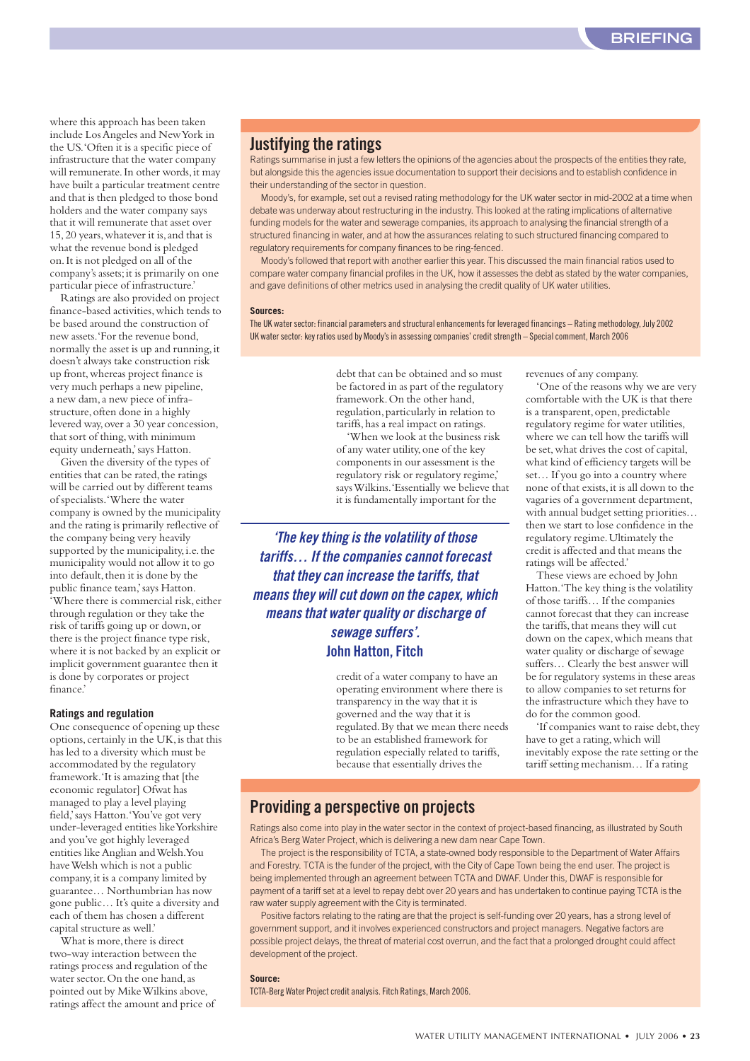where this approach has been taken include Los Angeles and New York in the US.'Often it is a specific piece of infrastructure that the water company will remunerate. In other words, it may have built a particular treatment centre and that is then pledged to those bond holders and the water company says that it will remunerate that asset over 15,20 years,whatever it is,and that is what the revenue bond is pledged on.It is not pledged on all of the company's assets;it is primarily on one particular piece of infrastructure.'

Ratings are also provided on project finance-based activities,which tends to be based around the construction of new assets.'For the revenue bond, normally the asset is up and running,it doesn't always take construction risk up front,whereas project finance is very much perhaps a new pipeline, a new dam,a new piece of infrastructure, often done in a highly levered way,over a 30 year concession, that sort of thing, with minimum equity underneath,'says Hatton.

Given the diversity of the types of entities that can be rated, the ratings will be carried out by different teams of specialists.'Where the water company is owned by the municipality and the rating is primarily reflective of the company being very heavily supported by the municipality, i.e. the municipality would not allow it to go into default, then it is done by the public finance team,'says Hatton. 'Where there is commercial risk,either through regulation or they take the risk of tariffs going up or down,or there is the project finance type risk, where it is not backed by an explicit or implicit government guarantee then it is done by corporates or project finance.'

#### **Ratings and regulation**

One consequence of opening up these options, certainly in the UK, is that this has led to a diversity which must be accommodated by the regulatory framework.'It is amazing that [the economic regulator] Ofwat has managed to play a level playing field,'says Hatton.'You've got very under-leveraged entities like Yorkshire and you've got highly leveraged entities like Anglian and Welsh.You have Welsh which is not a public company,it is a company limited by guarantee… Northumbrian has now gone public… It's quite a diversity and each of them has chosen a different capital structure as well.'

What is more, there is direct two-way interaction between the ratings process and regulation of the water sector. On the one hand, as pointed out by Mike Wilkins above, ratings affect the amount and price of

#### **Justifying the ratings**

Ratings summarise in just a few letters the opinions of the agencies about the prospects of the entities they rate, but alongside this the agencies issue documentation to support their decisions and to establish confidence in their understanding of the sector in question.

Moody's, for example, set out a revised rating methodology for the UK water sector in mid-2002 at a time when debate was underway about restructuring in the industry. This looked at the rating implications of alternative funding models for the water and sewerage companies, its approach to analysing the financial strength of a structured financing in water, and at how the assurances relating to such structured financing compared to regulatory requirements for company finances to be ring-fenced.

Moody's followed that report with another earlier this year. This discussed the main financial ratios used to compare water company financial profiles in the UK, how it assesses the debt as stated by the water companies, and gave definitions of other metrics used in analysing the credit quality of UK water utilities.

#### **Sources:**

The UK water sector: financial parameters and structural enhancements for leveraged financings – Rating methodology, July 2002 UK water sector: key ratios used by Moody's in assessing companies' credit strength – Special comment, March 2006

> debt that can be obtained and so must be factored in as part of the regulatory framework.On the other hand, regulation,particularly in relation to tariffs,has a real impact on ratings.

'When we look at the business risk of any water utility,one of the key components in our assessment is the regulatory risk or regulatory regime,' says Wilkins.'Essentially we believe that it is fundamentally important for the

*'The key thing is the volatility of those tariffs… If the companies cannot forecast that they can increase the tariffs, that means they will cut down on the capex, which means that water quality or discharge of sewage suffers'.* **John Hatton, Fitch**

> credit of a water company to have an operating environment where there is transparency in the way that it is governed and the way that it is regulated.By that we mean there needs to be an established framework for regulation especially related to tariffs, because that essentially drives the

revenues of any company.

'One of the reasons why we are very comfortable with the UK is that there is a transparent, open, predictable regulatory regime for water utilities, where we can tell how the tariffs will be set,what drives the cost of capital, what kind of efficiency targets will be set… If you go into a country where none of that exists,it is all down to the vagaries of a government department, with annual budget setting priorities… then we start to lose confidence in the regulatory regime.Ultimately the credit is affected and that means the ratings will be affected.'

These views are echoed by John Hatton.'The key thing is the volatility of those tariffs… If the companies cannot forecast that they can increase the tariffs, that means they will cut down on the capex, which means that water quality or discharge of sewage suffers… Clearly the best answer will be for regulatory systems in these areas to allow companies to set returns for the infrastructure which they have to do for the common good.

'If companies want to raise debt, they have to get a rating, which will inevitably expose the rate setting or the tariff setting mechanism… If a rating

#### **Providing a perspective on projects**

Ratings also come into play in the water sector in the context of project-based financing, as illustrated by South Africa's Berg Water Project, which is delivering a new dam near Cape Town.

The project is the responsibility of TCTA, a state-owned body responsible to the Department of Water Affairs and Forestry. TCTA is the funder of the project, with the City of Cape Town being the end user. The project is being implemented through an agreement between TCTA and DWAF. Under this, DWAF is responsible for payment of a tariff set at a level to repay debt over 20 years and has undertaken to continue paying TCTA is the raw water supply agreement with the City is terminated.

Positive factors relating to the rating are that the project is self-funding over 20 years, has a strong level of government support, and it involves experienced constructors and project managers. Negative factors are possible project delays, the threat of material cost overrun, and the fact that a prolonged drought could affect development of the project.

#### **Source:**

TCTA-Berg Water Project credit analysis. Fitch Ratings, March 2006.